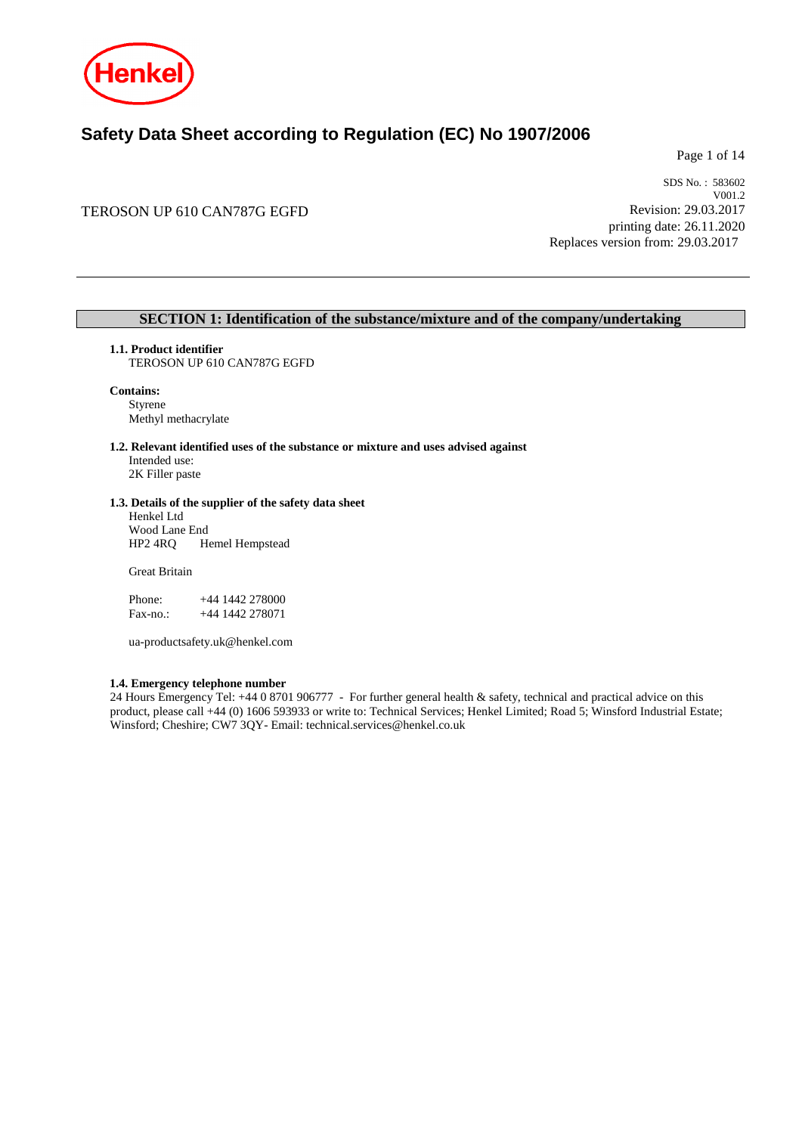

## **Safety Data Sheet according to Regulation (EC) No 1907/2006**

Page 1 of 14

### TEROSON UP 610 CAN787G EGFD

SDS No. : 583602 V001.2 Revision: 29.03.2017 printing date: 26.11.2020 Replaces version from: 29.03.2017

### **SECTION 1: Identification of the substance/mixture and of the company/undertaking**

### **1.1. Product identifier**

TEROSON UP 610 CAN787G EGFD

### **Contains:** Styrene

Methyl methacrylate

### **1.2. Relevant identified uses of the substance or mixture and uses advised against**

Intended use: 2K Filler paste

### **1.3. Details of the supplier of the safety data sheet**

Henkel Ltd Wood Lane End<br>HP2 4RQ He Hemel Hempstead

Great Britain

| Phone:    |  | $+44$ 1442 278000 |
|-----------|--|-------------------|
| $Fax-no.$ |  | +44 1442 278071   |

ua-productsafety.uk@henkel.com

### **1.4. Emergency telephone number**

24 Hours Emergency Tel: +44 0 8701 906777 - For further general health & safety, technical and practical advice on this product, please call +44 (0) 1606 593933 or write to: Technical Services; Henkel Limited; Road 5; Winsford Industrial Estate; Winsford; Cheshire; CW7 3QY- Email: technical.services@henkel.co.uk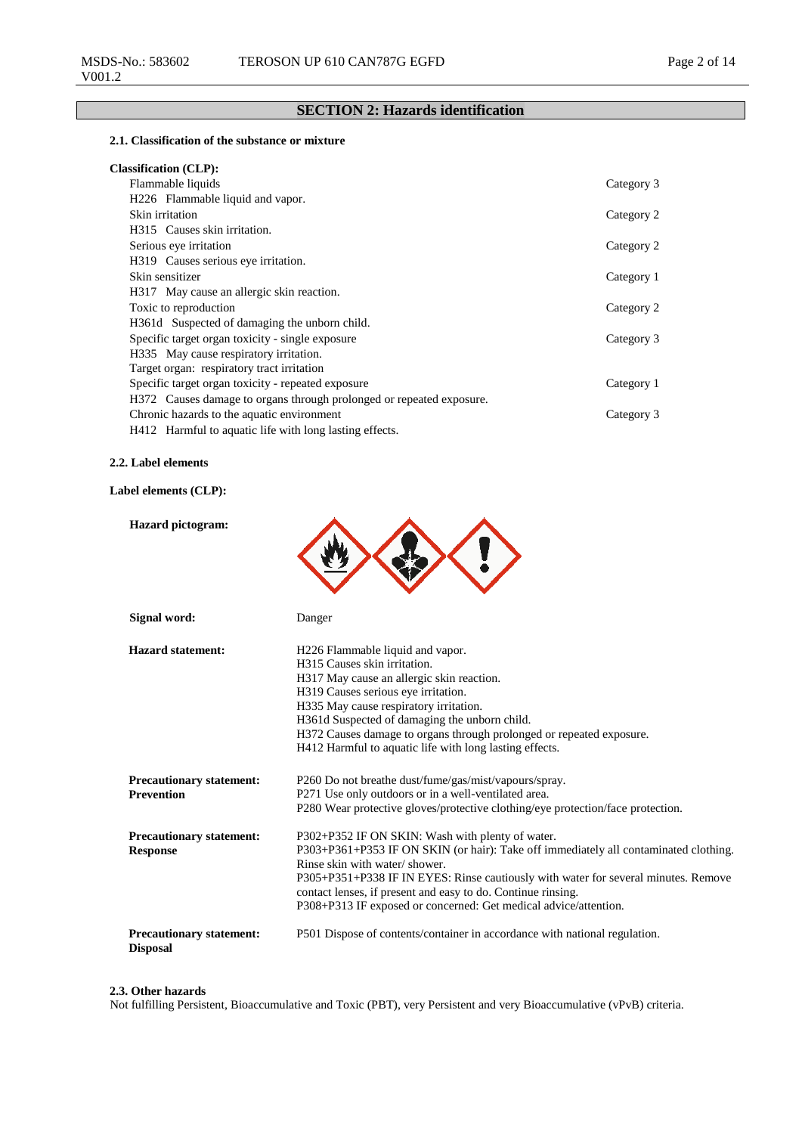### **SECTION 2: Hazards identification**

### **2.1. Classification of the substance or mixture**

| <b>Classification (CLP):</b> |  |
|------------------------------|--|
|------------------------------|--|

| Flammable liquids                                                    | Category 3 |
|----------------------------------------------------------------------|------------|
| H226 Flammable liquid and vapor.                                     |            |
| Skin irritation                                                      | Category 2 |
| H315 Causes skin irritation.                                         |            |
| Serious eye irritation                                               | Category 2 |
| H319 Causes serious eye irritation.                                  |            |
| Skin sensitizer                                                      | Category 1 |
| H317 May cause an allergic skin reaction.                            |            |
| Toxic to reproduction                                                | Category 2 |
| H361d Suspected of damaging the unborn child.                        |            |
| Specific target organ toxicity - single exposure                     | Category 3 |
| H335 May cause respiratory irritation.                               |            |
| Target organ: respiratory tract irritation                           |            |
| Specific target organ toxicity - repeated exposure                   | Category 1 |
| H372 Causes damage to organs through prolonged or repeated exposure. |            |
| Chronic hazards to the aquatic environment                           | Category 3 |
| H412 Harmful to aquatic life with long lasting effects.              |            |

### **2.2. Label elements**

### **Label elements (CLP):**

| <b>Hazard</b> pictogram:                             |                                                                                                                                                                                                                                                                                                                                                                                                     |
|------------------------------------------------------|-----------------------------------------------------------------------------------------------------------------------------------------------------------------------------------------------------------------------------------------------------------------------------------------------------------------------------------------------------------------------------------------------------|
| Signal word:                                         | Danger                                                                                                                                                                                                                                                                                                                                                                                              |
| <b>Hazard statement:</b>                             | H <sub>226</sub> Flammable liquid and vapor.<br>H315 Causes skin irritation.<br>H317 May cause an allergic skin reaction.<br>H319 Causes serious eye irritation.<br>H335 May cause respiratory irritation.<br>H361d Suspected of damaging the unborn child.<br>H372 Causes damage to organs through prolonged or repeated exposure.<br>H412 Harmful to aquatic life with long lasting effects.      |
| <b>Precautionary statement:</b><br><b>Prevention</b> | P260 Do not breathe dust/fume/gas/mist/vapours/spray.<br>P271 Use only outdoors or in a well-ventilated area.<br>P280 Wear protective gloves/protective clothing/eye protection/face protection.                                                                                                                                                                                                    |
| <b>Precautionary statement:</b><br><b>Response</b>   | P302+P352 IF ON SKIN: Wash with plenty of water.<br>P303+P361+P353 IF ON SKIN (or hair): Take off immediately all contaminated clothing.<br>Rinse skin with water/shower.<br>P305+P351+P338 IF IN EYES: Rinse cautiously with water for several minutes. Remove<br>contact lenses, if present and easy to do. Continue rinsing.<br>P308+P313 IF exposed or concerned: Get medical advice/attention. |
| <b>Precautionary statement:</b><br><b>Disposal</b>   | P501 Dispose of contents/container in accordance with national regulation.                                                                                                                                                                                                                                                                                                                          |

#### **2.3. Other hazards**

Not fulfilling Persistent, Bioaccumulative and Toxic (PBT), very Persistent and very Bioaccumulative (vPvB) criteria.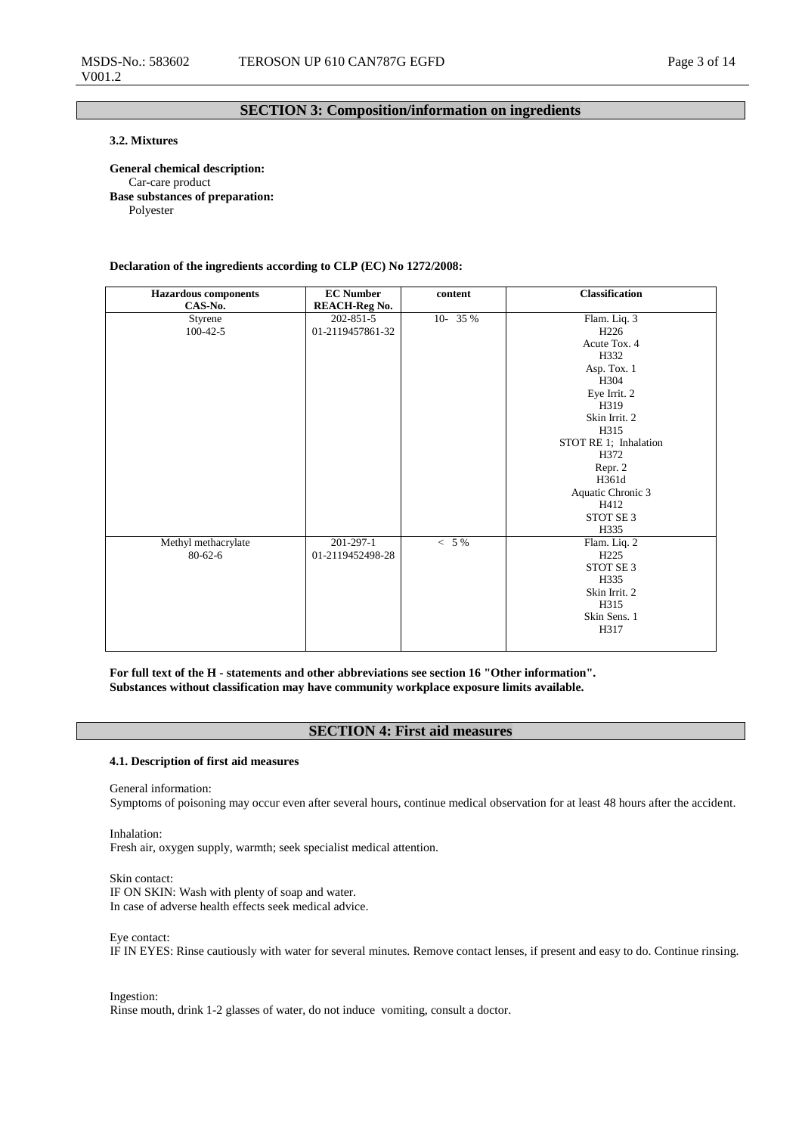### **SECTION 3: Composition/information on ingredients**

### **3.2. Mixtures**

**General chemical description:** Car-care product **Base substances of preparation:** Polyester

**Declaration of the ingredients according to CLP (EC) No 1272/2008:**

| <b>Hazardous</b> components<br>CAS-No. | <b>EC Number</b><br><b>REACH-Reg No.</b> | content  | <b>Classification</b> |
|----------------------------------------|------------------------------------------|----------|-----------------------|
| Styrene                                | $202 - 851 - 5$                          | 10- 35 % | Flam. Liq. 3          |
| $100 - 42 - 5$                         | 01-2119457861-32                         |          | H <sub>226</sub>      |
|                                        |                                          |          | Acute Tox. 4          |
|                                        |                                          |          | H332                  |
|                                        |                                          |          | Asp. Tox. 1           |
|                                        |                                          |          | H304                  |
|                                        |                                          |          | Eye Irrit. 2          |
|                                        |                                          |          | H319                  |
|                                        |                                          |          | Skin Irrit. 2         |
|                                        |                                          |          | H315                  |
|                                        |                                          |          | STOT RE 1; Inhalation |
|                                        |                                          |          | H372                  |
|                                        |                                          |          | Repr. 2               |
|                                        |                                          |          | H361d                 |
|                                        |                                          |          | Aquatic Chronic 3     |
|                                        |                                          |          | H412                  |
|                                        |                                          |          | STOT SE 3             |
|                                        |                                          |          | H335                  |
| Methyl methacrylate                    | 201-297-1                                | $< 5\%$  | Flam. Liq. 2          |
| $80 - 62 - 6$                          | 01-2119452498-28                         |          | H <sub>225</sub>      |
|                                        |                                          |          | STOT SE <sub>3</sub>  |
|                                        |                                          |          | H335                  |
|                                        |                                          |          | Skin Irrit. 2         |
|                                        |                                          |          | H315                  |
|                                        |                                          |          | Skin Sens. 1          |
|                                        |                                          |          | H317                  |
|                                        |                                          |          |                       |

**For full text of the H - statements and other abbreviations see section 16 "Other information". Substances without classification may have community workplace exposure limits available.**

### **SECTION 4: First aid measures**

#### **4.1. Description of first aid measures**

General information:

Symptoms of poisoning may occur even after several hours, continue medical observation for at least 48 hours after the accident.

Inhalation: Fresh air, oxygen supply, warmth; seek specialist medical attention.

Skin contact: IF ON SKIN: Wash with plenty of soap and water. In case of adverse health effects seek medical advice.

Eye contact:

IF IN EYES: Rinse cautiously with water for several minutes. Remove contact lenses, if present and easy to do. Continue rinsing.

Ingestion:

Rinse mouth, drink 1-2 glasses of water, do not induce vomiting, consult a doctor.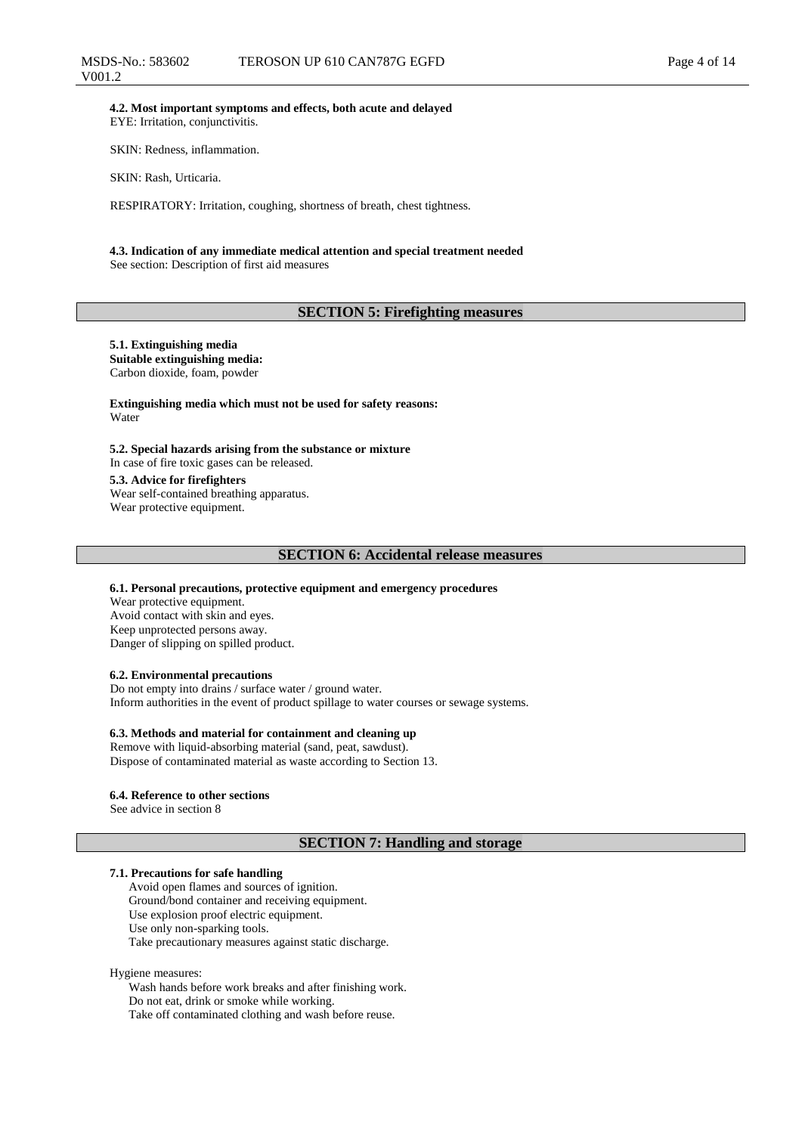**4.2. Most important symptoms and effects, both acute and delayed** EYE: Irritation, conjunctivitis.

SKIN: Redness, inflammation.

SKIN: Rash, Urticaria.

RESPIRATORY: Irritation, coughing, shortness of breath, chest tightness.

#### **4.3. Indication of any immediate medical attention and special treatment needed** See section: Description of first aid measures

### **SECTION 5: Firefighting measures**

### **5.1. Extinguishing media Suitable extinguishing media:**

Carbon dioxide, foam, powder

**Extinguishing media which must not be used for safety reasons:** Water

**5.2. Special hazards arising from the substance or mixture** In case of fire toxic gases can be released. **5.3. Advice for firefighters**

Wear self-contained breathing apparatus. Wear protective equipment.

#### **SECTION 6: Accidental release measures**

#### **6.1. Personal precautions, protective equipment and emergency procedures**

Wear protective equipment. Avoid contact with skin and eyes. Keep unprotected persons away. Danger of slipping on spilled product.

#### **6.2. Environmental precautions**

Do not empty into drains / surface water / ground water. Inform authorities in the event of product spillage to water courses or sewage systems.

### **6.3. Methods and material for containment and cleaning up**

Remove with liquid-absorbing material (sand, peat, sawdust). Dispose of contaminated material as waste according to Section 13.

#### **6.4. Reference to other sections**

See advice in section 8

### **SECTION 7: Handling and storage**

#### **7.1. Precautions for safe handling**

Avoid open flames and sources of ignition. Ground/bond container and receiving equipment. Use explosion proof electric equipment. Use only non-sparking tools. Take precautionary measures against static discharge.

Hygiene measures:

Wash hands before work breaks and after finishing work. Do not eat, drink or smoke while working. Take off contaminated clothing and wash before reuse.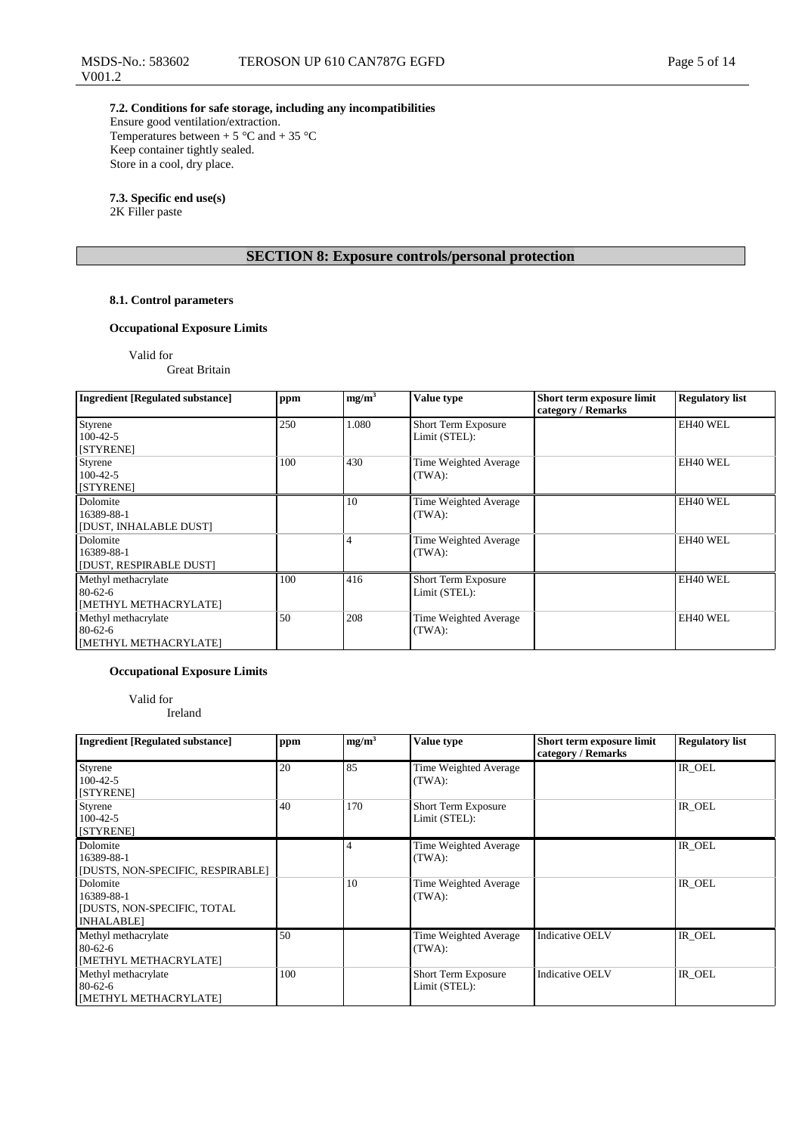**7.2. Conditions for safe storage, including any incompatibilities** Ensure good ventilation/extraction. Temperatures between + 5  $^{\circ}$ C and + 35  $^{\circ}$ C Keep container tightly sealed. Store in a cool, dry place.

### **7.3. Specific end use(s)**

2K Filler paste

V001.2

### **SECTION 8: Exposure controls/personal protection**

### **8.1. Control parameters**

### **Occupational Exposure Limits**

Valid for

Great Britain

| <b>Ingredient [Regulated substance]</b>                       | ppm | mg/m <sup>3</sup> | <b>Value type</b>                    | Short term exposure limit<br>category / Remarks | <b>Regulatory list</b> |
|---------------------------------------------------------------|-----|-------------------|--------------------------------------|-------------------------------------------------|------------------------|
| Styrene<br>$100-42-5$<br>[STYRENE]                            | 250 | 1.080             | Short Term Exposure<br>Limit (STEL): |                                                 | EH40 WEL               |
| Styrene<br>$100-42-5$<br>[STYRENE]                            | 100 | 430               | Time Weighted Average<br>(TWA):      |                                                 | EH40 WEL               |
| Dolomite<br>16389-88-1<br>[DUST, INHALABLE DUST]              |     | 10                | Time Weighted Average<br>(TWA):      |                                                 | EH40 WEL               |
| Dolomite<br>16389-88-1<br>[DUST, RESPIRABLE DUST]             |     | 4                 | Time Weighted Average<br>(TWA):      |                                                 | EH40 WEL               |
| Methyl methacrylate<br>$80-62-6$<br>[METHYL METHACRYLATE]     | 100 | 416               | Short Term Exposure<br>Limit (STEL): |                                                 | EH40 WEL               |
| Methyl methacrylate<br>$80 - 62 - 6$<br>[METHYL METHACRYLATE] | 50  | 208               | Time Weighted Average<br>(TWA):      |                                                 | EH40 WEL               |

### **Occupational Exposure Limits**

Valid for Ireland

| <b>Ingredient [Regulated substance]</b>                                   | ppm | mg/m <sup>3</sup> | Value type                                  | Short term exposure limit<br>category / Remarks | <b>Regulatory list</b> |
|---------------------------------------------------------------------------|-----|-------------------|---------------------------------------------|-------------------------------------------------|------------------------|
| Styrene<br>$100-42-5$<br>[STYRENE]                                        | 20  | 85                | Time Weighted Average<br>(TWA):             |                                                 | IR OEL                 |
| Styrene<br>$100-42-5$<br>[STYRENE]                                        | 40  | 170               | <b>Short Term Exposure</b><br>Limit (STEL): |                                                 | IR_OEL                 |
| Dolomite<br>16389-88-1<br>[DUSTS, NON-SPECIFIC, RESPIRABLE]               |     | 4                 | Time Weighted Average<br>(TWA):             |                                                 | IR_OEL                 |
| Dolomite<br>16389-88-1<br>[DUSTS, NON-SPECIFIC, TOTAL<br><b>INHALABLE</b> |     | 10                | Time Weighted Average<br>(TWA):             |                                                 | IR OEL                 |
| Methyl methacrylate<br>$80 - 62 - 6$<br>[METHYL METHACRYLATE]             | 50  |                   | Time Weighted Average<br>(TWA):             | <b>Indicative OELV</b>                          | IR OEL                 |
| Methyl methacrylate<br>$80 - 62 - 6$<br>[METHYL METHACRYLATE]             | 100 |                   | Short Term Exposure<br>Limit (STEL):        | <b>Indicative OELV</b>                          | IR OEL                 |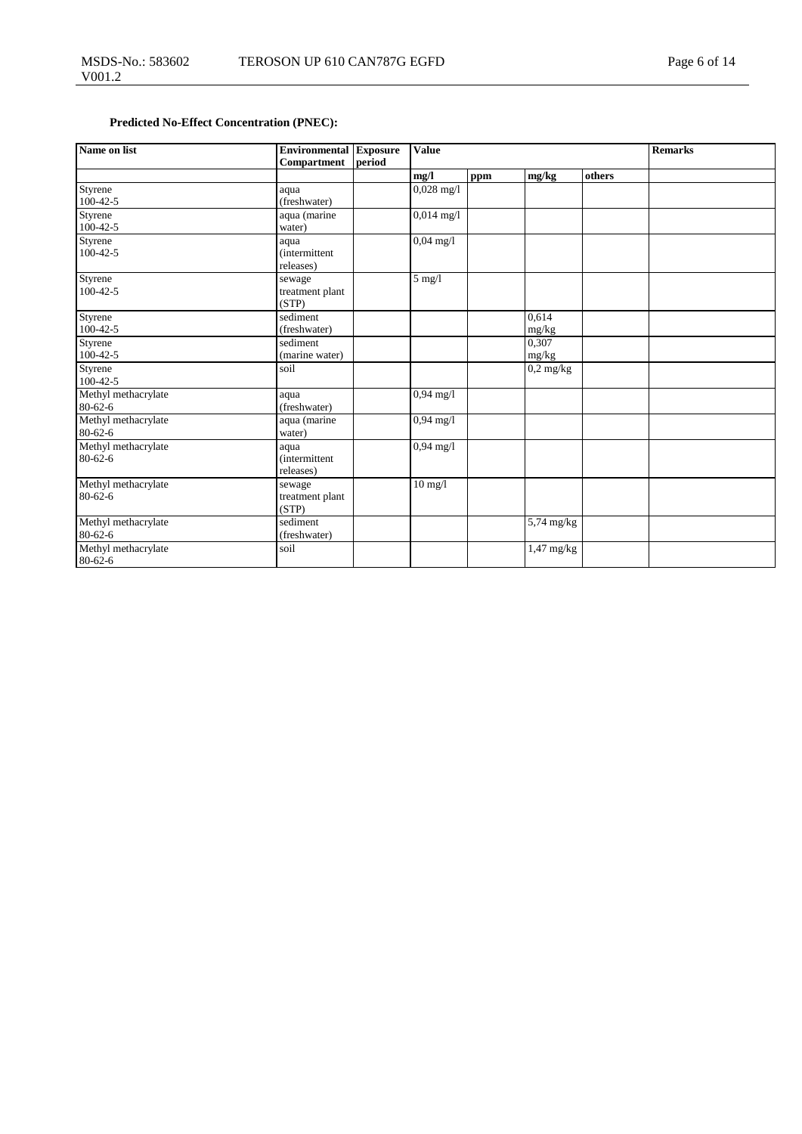### **Predicted No-Effect Concentration (PNEC):**

| Name on list                         | Environmental<br>Compartment               | Exposure<br>period | <b>Value</b>         |     |                         | Remarks |  |
|--------------------------------------|--------------------------------------------|--------------------|----------------------|-----|-------------------------|---------|--|
|                                      |                                            |                    | mg/l                 | ppm | mg/kg                   | others  |  |
| Styrene<br>$100-42-5$                | aqua<br>(freshwater)                       |                    | $0,028$ mg/l         |     |                         |         |  |
| Styrene<br>$100 - 42 - 5$            | aqua (marine<br>water)                     |                    | $0,014 \text{ mg}/1$ |     |                         |         |  |
| Styrene<br>$100-42-5$                | aqua<br><i>(intermittent)</i><br>releases) |                    | $0,04 \text{ mg}/1$  |     |                         |         |  |
| Styrene<br>$100-42-5$                | sewage<br>treatment plant<br>(STP)         |                    | $5$ mg/l             |     |                         |         |  |
| Styrene<br>$100-42-5$                | sediment<br>(freshwater)                   |                    |                      |     | 0.614<br>mg/kg          |         |  |
| Styrene<br>$100-42-5$                | sediment<br>(marine water)                 |                    |                      |     | 0.307<br>mg/kg          |         |  |
| Styrene<br>$100 - 42 - 5$            | soil                                       |                    |                      |     | $0,2$ mg/kg             |         |  |
| Methyl methacrylate<br>$80 - 62 - 6$ | aqua<br>(freshwater)                       |                    | $0,94 \text{ mg}/1$  |     |                         |         |  |
| Methyl methacrylate<br>$80 - 62 - 6$ | aqua (marine<br>water)                     |                    | $0,94 \text{ mg}/1$  |     |                         |         |  |
| Methyl methacrylate<br>$80-62-6$     | aqua<br><i>(intermittent)</i><br>releases) |                    | $0,94 \text{ mg}/1$  |     |                         |         |  |
| Methyl methacrylate<br>$80 - 62 - 6$ | sewage<br>treatment plant<br>(STP)         |                    | $10$ mg/l            |     |                         |         |  |
| Methyl methacrylate<br>$80 - 62 - 6$ | sediment<br>(freshwater)                   |                    |                      |     | $\overline{5,74}$ mg/kg |         |  |
| Methyl methacrylate<br>$80 - 62 - 6$ | soil                                       |                    |                      |     | $1,47$ mg/kg            |         |  |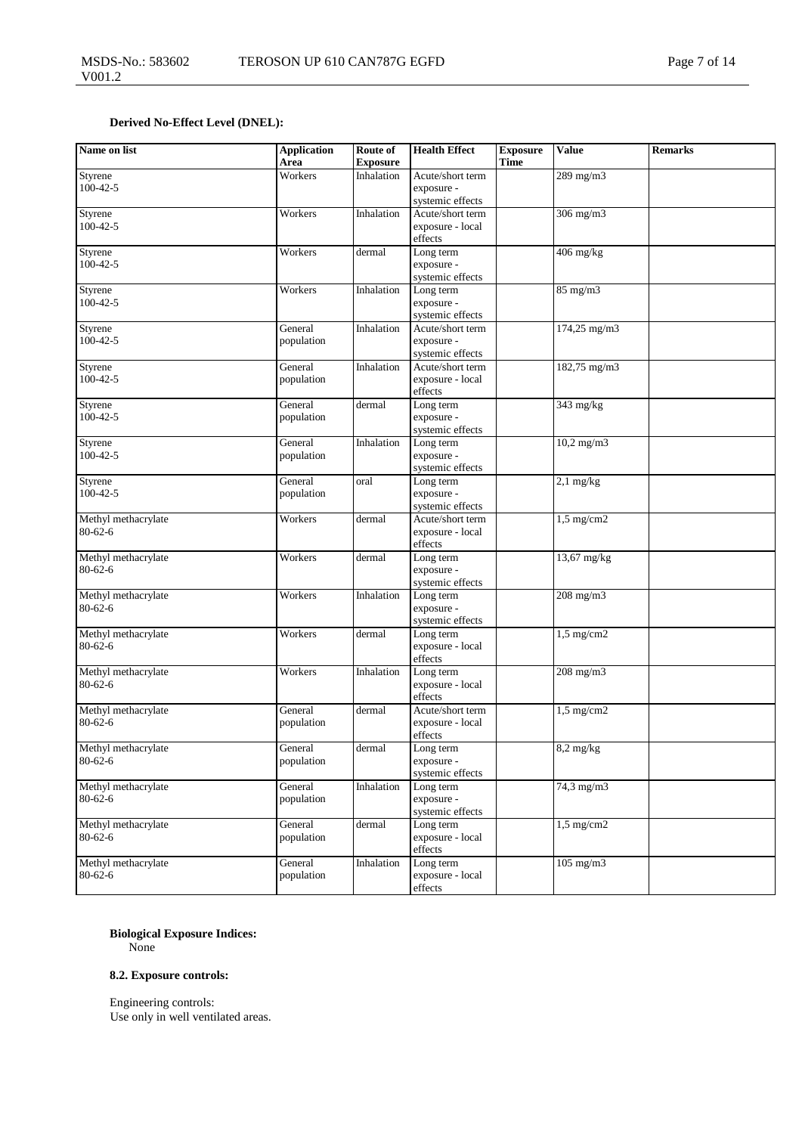### **Derived No-Effect Level (DNEL):**

| Name on list                         | <b>Application</b><br>Area | Route of<br><b>Exposure</b> | <b>Health Effect</b>                               | <b>Exposure</b><br>Time | <b>Value</b>              | <b>Remarks</b> |
|--------------------------------------|----------------------------|-----------------------------|----------------------------------------------------|-------------------------|---------------------------|----------------|
| Styrene<br>$100-42-5$                | Workers                    | Inhalation                  | Acute/short term<br>exposure -<br>systemic effects |                         | 289 mg/m3                 |                |
| Styrene<br>$100 - 42 - 5$            | Workers                    | Inhalation                  | Acute/short term<br>exposure - local<br>effects    |                         | 306 mg/m3                 |                |
| Styrene<br>$100-42-5$                | Workers                    | dermal                      | Long term<br>exposure -<br>systemic effects        |                         | $406$ mg/kg               |                |
| Styrene<br>$100-42-5$                | Workers                    | Inhalation                  | Long term<br>exposure -<br>systemic effects        |                         | 85 mg/m3                  |                |
| Styrene<br>$100-42-5$                | General<br>population      | Inhalation                  | Acute/short term<br>exposure -<br>systemic effects |                         | $174,25 \,\mathrm{mg/m3}$ |                |
| Styrene<br>$100-42-5$                | General<br>population      | Inhalation                  | Acute/short term<br>exposure - local<br>effects    |                         | 182,75 mg/m3              |                |
| Styrene<br>$100 - 42 - 5$            | General<br>population      | dermal                      | Long term<br>exposure -<br>systemic effects        |                         | $343$ mg/kg               |                |
| Styrene<br>$100-42-5$                | General<br>population      | Inhalation                  | Long term<br>exposure -<br>systemic effects        |                         | $10,2$ mg/m $3$           |                |
| Styrene<br>$100-42-5$                | General<br>population      | oral                        | Long term<br>exposure -<br>systemic effects        |                         | $2,1$ mg/kg               |                |
| Methyl methacrylate<br>$80 - 62 - 6$ | Workers                    | dermal                      | Acute/short term<br>exposure - local<br>effects    |                         | $1,5$ mg/cm2              |                |
| Methyl methacrylate<br>$80 - 62 - 6$ | Workers                    | dermal                      | Long term<br>exposure -<br>systemic effects        |                         | 13,67 mg/kg               |                |
| Methyl methacrylate<br>$80 - 62 - 6$ | Workers                    | Inhalation                  | Long term<br>exposure -<br>systemic effects        |                         | 208 mg/m3                 |                |
| Methyl methacrylate<br>$80 - 62 - 6$ | Workers                    | dermal                      | Long term<br>exposure - local<br>effects           |                         | $1,5$ mg/cm2              |                |
| Methyl methacrylate<br>$80 - 62 - 6$ | Workers                    | Inhalation                  | Long term<br>exposure - local<br>effects           |                         | $208$ mg/m $3$            |                |
| Methyl methacrylate<br>$80 - 62 - 6$ | General<br>population      | dermal                      | Acute/short term<br>exposure - local<br>effects    |                         | $1,5$ mg/cm2              |                |
| Methyl methacrylate<br>$80 - 62 - 6$ | General<br>population      | $d$ ermal                   | Long term<br>exposure -<br>systemic effects        |                         | $8,2$ mg/kg               |                |
| Methyl methacrylate<br>$80 - 62 - 6$ | General<br>population      | Inhalation                  | Long term<br>exposure -<br>systemic effects        |                         | 74,3 mg/m3                |                |
| Methyl methacrylate<br>$80 - 62 - 6$ | General<br>population      | dermal                      | Long term<br>exposure - local<br>effects           |                         | $1,5$ mg/cm2              |                |
| Methyl methacrylate<br>$80 - 62 - 6$ | General<br>population      | Inhalation                  | Long term<br>exposure - local<br>effects           |                         | 105 mg/m3                 |                |

### **Biological Exposure Indices:**

None

### **8.2. Exposure controls:**

Engineering controls: Use only in well ventilated areas.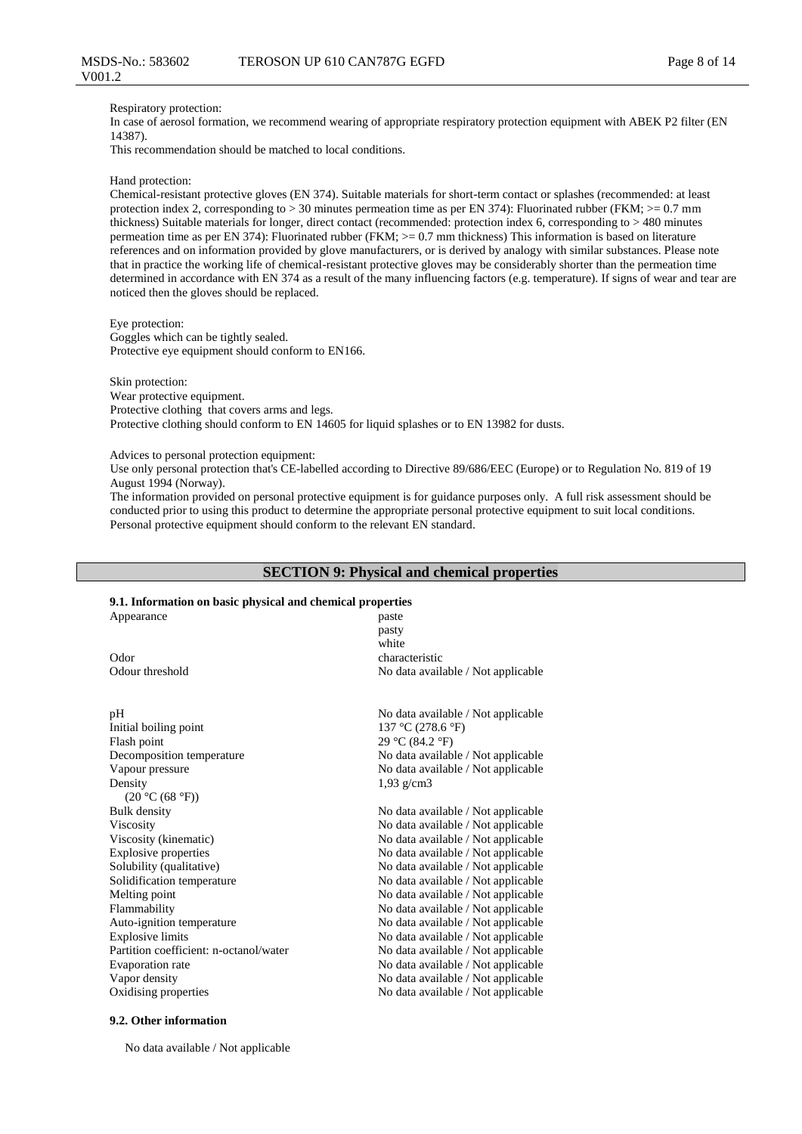#### Respiratory protection:

In case of aerosol formation, we recommend wearing of appropriate respiratory protection equipment with ABEK P2 filter (EN 14387).

This recommendation should be matched to local conditions.

#### Hand protection:

Chemical-resistant protective gloves (EN 374). Suitable materials for short-term contact or splashes (recommended: at least protection index 2, corresponding to  $> 30$  minutes permeation time as per EN 374): Fluorinated rubber (FKM;  $>= 0.7$  mm thickness) Suitable materials for longer, direct contact (recommended: protection index 6, corresponding to > 480 minutes permeation time as per EN 374): Fluorinated rubber (FKM; >= 0.7 mm thickness) This information is based on literature references and on information provided by glove manufacturers, or is derived by analogy with similar substances. Please note that in practice the working life of chemical-resistant protective gloves may be considerably shorter than the permeation time determined in accordance with EN 374 as a result of the many influencing factors (e.g. temperature). If signs of wear and tear are noticed then the gloves should be replaced.

Eye protection: Goggles which can be tightly sealed. Protective eye equipment should conform to EN166.

Skin protection: Wear protective equipment. Protective clothing that covers arms and legs. Protective clothing should conform to EN 14605 for liquid splashes or to EN 13982 for dusts.

Advices to personal protection equipment:

Use only personal protection that's CE-labelled according to Directive 89/686/EEC (Europe) or to Regulation No. 819 of 19 August 1994 (Norway).

The information provided on personal protective equipment is for guidance purposes only. A full risk assessment should be conducted prior to using this product to determine the appropriate personal protective equipment to suit local conditions. Personal protective equipment should conform to the relevant EN standard.

### **SECTION 9: Physical and chemical properties**

### **9.1. Information on basic physical and chemical properties**

| 2.1. нної ніацоп он разіс рнузісаї ани спеннсаг ргорегися |                                    |  |  |  |  |  |  |
|-----------------------------------------------------------|------------------------------------|--|--|--|--|--|--|
| Appearance                                                | paste                              |  |  |  |  |  |  |
|                                                           | pasty                              |  |  |  |  |  |  |
|                                                           | white                              |  |  |  |  |  |  |
| Odor                                                      | characteristic                     |  |  |  |  |  |  |
| Odour threshold                                           | No data available / Not applicable |  |  |  |  |  |  |
|                                                           |                                    |  |  |  |  |  |  |
| pH                                                        | No data available / Not applicable |  |  |  |  |  |  |
| Initial boiling point                                     | 137 °C (278.6 °F)                  |  |  |  |  |  |  |
| Flash point                                               | 29 °C (84.2 °F)                    |  |  |  |  |  |  |
| Decomposition temperature                                 | No data available / Not applicable |  |  |  |  |  |  |
| Vapour pressure                                           | No data available / Not applicable |  |  |  |  |  |  |
| Density                                                   | $1,93$ g/cm3                       |  |  |  |  |  |  |
| (20 °C (68 °F))                                           |                                    |  |  |  |  |  |  |
| <b>Bulk</b> density                                       | No data available / Not applicable |  |  |  |  |  |  |
| Viscosity                                                 | No data available / Not applicable |  |  |  |  |  |  |
| Viscosity (kinematic)                                     | No data available / Not applicable |  |  |  |  |  |  |
| <b>Explosive properties</b>                               | No data available / Not applicable |  |  |  |  |  |  |
| Solubility (qualitative)                                  | No data available / Not applicable |  |  |  |  |  |  |
| Solidification temperature                                | No data available / Not applicable |  |  |  |  |  |  |
| Melting point                                             | No data available / Not applicable |  |  |  |  |  |  |
| Flammability                                              | No data available / Not applicable |  |  |  |  |  |  |
| Auto-ignition temperature                                 | No data available / Not applicable |  |  |  |  |  |  |
| <b>Explosive limits</b>                                   | No data available / Not applicable |  |  |  |  |  |  |
| Partition coefficient: n-octanol/water                    | No data available / Not applicable |  |  |  |  |  |  |
| Evaporation rate                                          | No data available / Not applicable |  |  |  |  |  |  |
| Vapor density                                             | No data available / Not applicable |  |  |  |  |  |  |
| Oxidising properties                                      | No data available / Not applicable |  |  |  |  |  |  |

#### **9.2. Other information**

No data available / Not applicable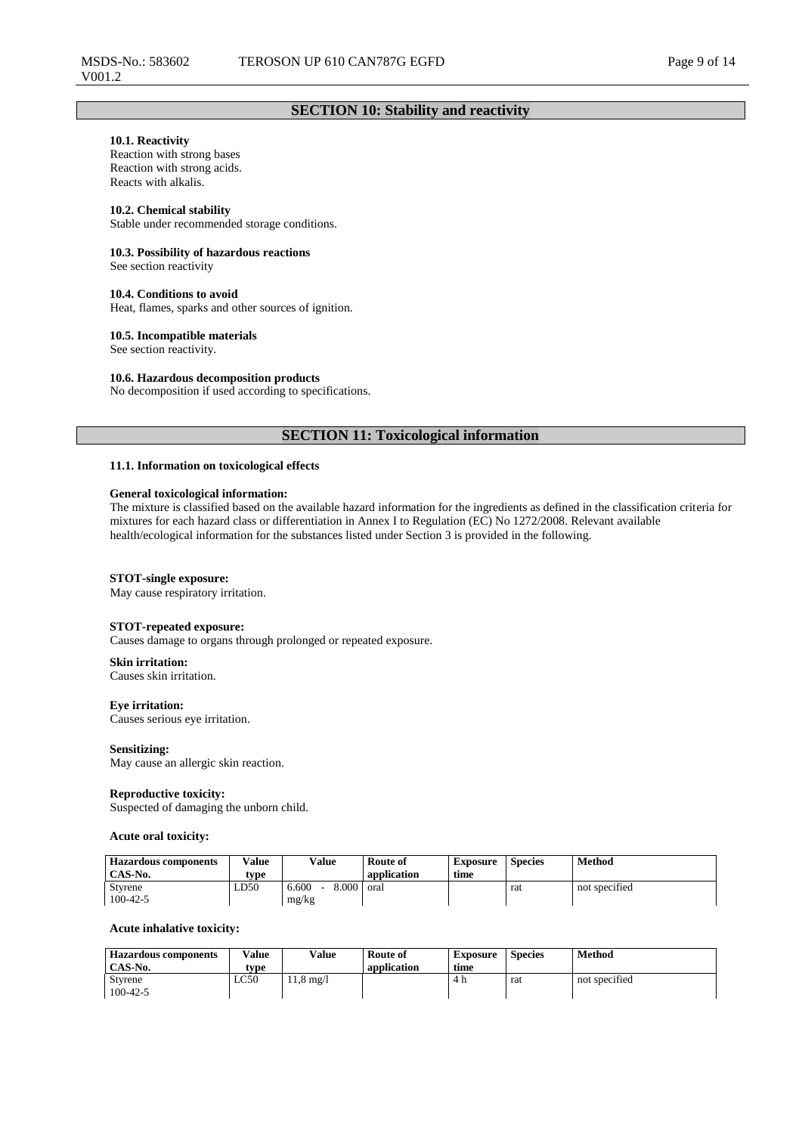### **SECTION 10: Stability and reactivity**

### **10.1. Reactivity**

Reaction with strong bases Reaction with strong acids. Reacts with alkalis.

#### **10.2. Chemical stability**

Stable under recommended storage conditions.

#### **10.3. Possibility of hazardous reactions**

See section reactivity

#### **10.4. Conditions to avoid**

Heat, flames, sparks and other sources of ignition.

#### **10.5. Incompatible materials**

See section reactivity.

#### **10.6. Hazardous decomposition products**

No decomposition if used according to specifications.

### **SECTION 11: Toxicological information**

### **11.1. Information on toxicological effects**

#### **General toxicological information:**

The mixture is classified based on the available hazard information for the ingredients as defined in the classification criteria for mixtures for each hazard class or differentiation in Annex I to Regulation (EC) No 1272/2008. Relevant available health/ecological information for the substances listed under Section 3 is provided in the following.

#### **STOT-single exposure:**

May cause respiratory irritation.

#### **STOT-repeated exposure:**

Causes damage to organs through prolonged or repeated exposure.

#### **Skin irritation:**

Causes skin irritation.

**Eye irritation:** Causes serious eye irritation.

#### **Sensitizing:**

May cause an allergic skin reaction.

#### **Reproductive toxicity:**

Suspected of damaging the unborn child.

#### **Acute oral toxicity:**

| <b>Hazardous components</b><br>CAS-No. | Value<br>type | <b>Value</b>            | Route of<br>application | Exposure<br>time | <b>Species</b> | Method        |
|----------------------------------------|---------------|-------------------------|-------------------------|------------------|----------------|---------------|
| Styrene<br>$100 - 42 - 5$              | LD50          | 8.000<br>6.600<br>mg/kg | oral                    |                  | rat            | not specified |

#### **Acute inhalative toxicity:**

| <b>Hazardous components</b> | Value | Value              | Route of    | Exposure | <b>Species</b> | Method        |
|-----------------------------|-------|--------------------|-------------|----------|----------------|---------------|
| CAS-No.                     | type  |                    | application | time     |                |               |
| <b>Styrene</b>              | LC50  | $1.8 \text{ mg}/1$ |             | 4 h      | rat            | not specified |
| $100 - 42 - 5$              |       |                    |             |          |                |               |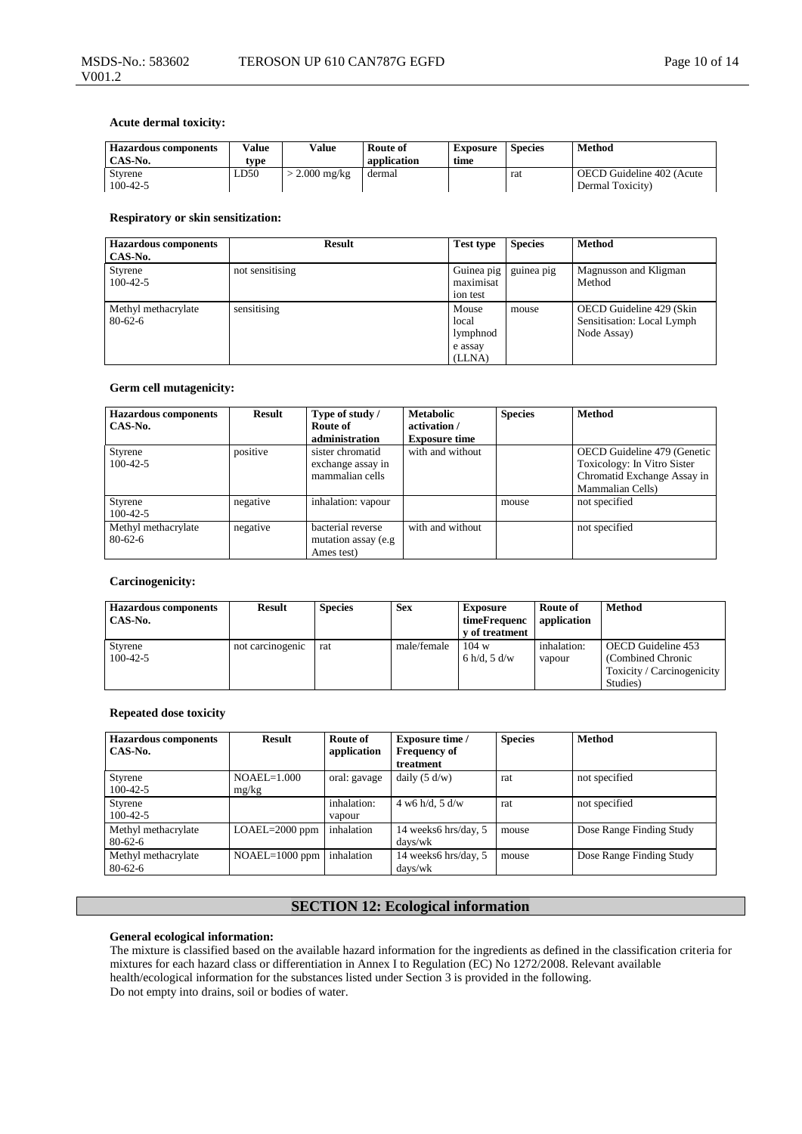### **Acute dermal toxicity:**

| <b>Hazardous components</b><br>CAS-No. | Value<br>type | Value         | Route of<br>application | <b>Exposure</b><br>time | <b>Species</b> | Method                                        |
|----------------------------------------|---------------|---------------|-------------------------|-------------------------|----------------|-----------------------------------------------|
| <b>Styrene</b><br>$100-42-5$           | LD50          | $2.000$ mg/kg | dermal                  |                         | rat            | OECD Guideline 402 (Acute<br>Dermal Toxicity) |

#### **Respiratory or skin sensitization:**

| <b>Hazardous</b> components<br>CAS-No. | <b>Result</b>   | <b>Test type</b>                                | <b>Species</b> | <b>Method</b>                                                         |
|----------------------------------------|-----------------|-------------------------------------------------|----------------|-----------------------------------------------------------------------|
| Styrene<br>$100 - 42 - 5$              | not sensitising | Guinea pig<br>maximisat<br>ion test             | guinea pig     | Magnusson and Kligman<br>Method                                       |
| Methyl methacrylate<br>$80 - 62 - 6$   | sensitising     | Mouse<br>local<br>lymphnod<br>e assay<br>(LLNA) | mouse          | OECD Guideline 429 (Skin<br>Sensitisation: Local Lymph<br>Node Assay) |

### **Germ cell mutagenicity:**

| <b>Hazardous components</b><br>CAS-No. | <b>Result</b> | Type of study /<br>Route of<br>administration            | <b>Metabolic</b><br>activation /<br><b>Exposure time</b> | <b>Species</b> | <b>Method</b>                                                                                                 |
|----------------------------------------|---------------|----------------------------------------------------------|----------------------------------------------------------|----------------|---------------------------------------------------------------------------------------------------------------|
| Styrene<br>$100 - 42 - 5$              | positive      | sister chromatid<br>exchange assay in<br>mammalian cells | with and without                                         |                | OECD Guideline 479 (Genetic<br>Toxicology: In Vitro Sister<br>Chromatid Exchange Assay in<br>Mammalian Cells) |
| Styrene<br>$100-42-5$                  | negative      | inhalation: vapour                                       |                                                          | mouse          | not specified                                                                                                 |
| Methyl methacrylate<br>$80 - 62 - 6$   | negative      | bacterial reverse<br>mutation assay (e.g.<br>Ames test)  | with and without                                         |                | not specified                                                                                                 |

### **Carcinogenicity:**

| <b>Hazardous components</b><br>CAS-No. | <b>Result</b>    | <b>Species</b> | <b>Sex</b>  | <b>Exposure</b><br>timeFrequenc<br>y of treatment | Route of<br>application | <b>Method</b>                            |
|----------------------------------------|------------------|----------------|-------------|---------------------------------------------------|-------------------------|------------------------------------------|
| Styrene<br>$100 - 42 - 5$              | not carcinogenic | rat            | male/female | 104 w<br>6 h/d, 5 d/w                             | inhalation:<br>vapour   | OECD Guideline 453<br>(Combined Chronic) |
|                                        |                  |                |             |                                                   |                         | Toxicity / Carcinogenicity<br>Studies)   |

### **Repeated dose toxicity**

| <b>Hazardous</b> components<br>CAS-No. | <b>Result</b>          | Route of<br>application | <b>Exposure time</b> /<br><b>Frequency of</b><br>treatment | <b>Species</b> | Method                   |
|----------------------------------------|------------------------|-------------------------|------------------------------------------------------------|----------------|--------------------------|
| Styrene<br>$100-42-5$                  | $NOAEL=1.000$<br>mg/kg | oral: gavage            | daily $(5 d/w)$                                            | rat            | not specified            |
| Styrene<br>$100-42-5$                  |                        | inhalation:<br>vapour   | $4 \text{ w6 h/d}, 5 \text{ d/w}$                          | rat            | not specified            |
| Methyl methacrylate<br>$80-62-6$       | $LOAEL=2000$ ppm       | inhalation              | 14 weeks6 hrs/day, 5<br>days/wk                            | mouse          | Dose Range Finding Study |
| Methyl methacrylate<br>$80 - 62 - 6$   | $NOAEL=1000$ ppm       | inhalation              | 14 weeks6 hrs/day, 5<br>days/wk                            | mouse          | Dose Range Finding Study |

### **SECTION 12: Ecological information**

### **General ecological information:**

The mixture is classified based on the available hazard information for the ingredients as defined in the classification criteria for mixtures for each hazard class or differentiation in Annex I to Regulation (EC) No 1272/2008. Relevant available health/ecological information for the substances listed under Section 3 is provided in the following. Do not empty into drains, soil or bodies of water.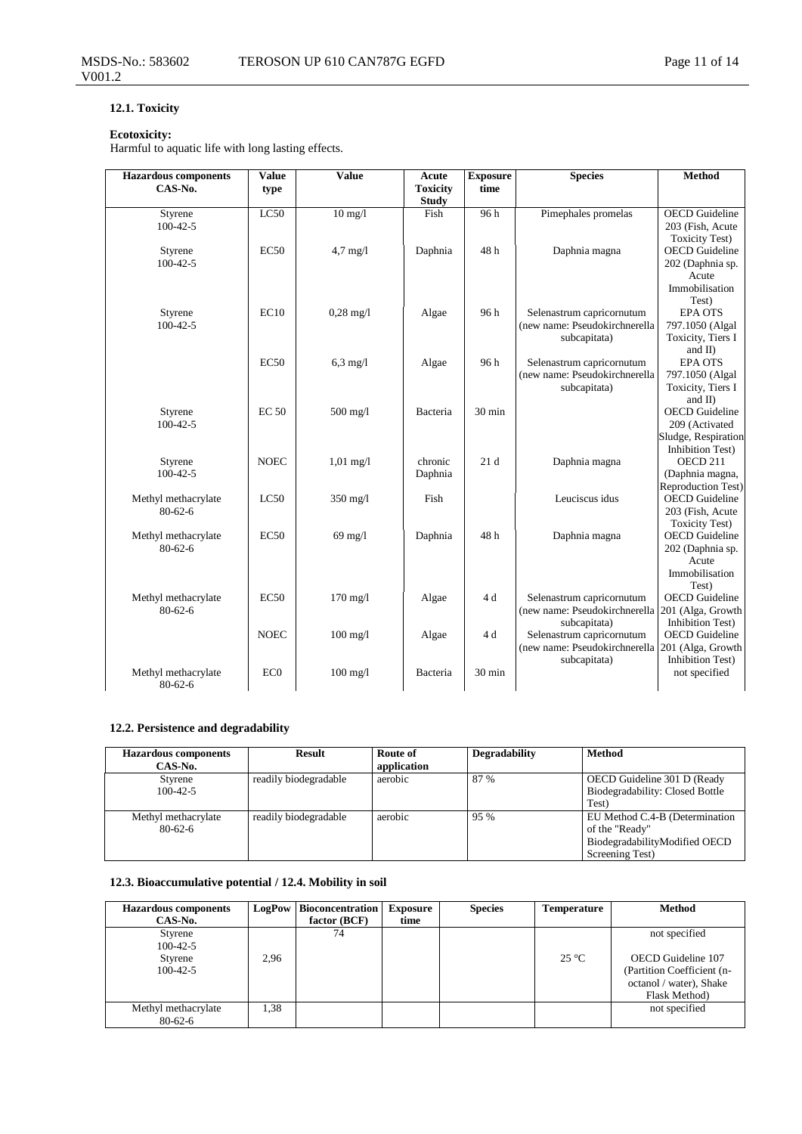### **12.1. Toxicity**

### **Ecotoxicity:**

Harmful to aquatic life with long lasting effects.

| <b>Hazardous</b> components | <b>Value</b>    | <b>Value</b>        | Acute           | <b>Exposure</b>  | <b>Species</b>                | <b>Method</b>                         |
|-----------------------------|-----------------|---------------------|-----------------|------------------|-------------------------------|---------------------------------------|
| CAS-No.                     | type            |                     | <b>Toxicity</b> | time             |                               |                                       |
|                             |                 |                     | <b>Study</b>    |                  |                               |                                       |
| Styrene                     | LC50            | $10 \text{ mg}/l$   | Fish            | 96h              | Pimephales promelas           | <b>OECD</b> Guideline                 |
| $100 - 42 - 5$              |                 |                     |                 |                  |                               | 203 (Fish, Acute                      |
|                             |                 |                     |                 |                  |                               | <b>Toxicity Test)</b>                 |
| Styrene                     | EC50            | $4.7$ mg/l          | Daphnia         | 48h              | Daphnia magna                 | <b>OECD</b> Guideline                 |
| $100-42-5$                  |                 |                     |                 |                  |                               | 202 (Daphnia sp.                      |
|                             |                 |                     |                 |                  |                               | Acute                                 |
|                             |                 |                     |                 |                  |                               | Immobilisation                        |
|                             |                 |                     |                 |                  |                               | Test)                                 |
| Styrene                     | EC10            | $0,28 \text{ mg}/1$ | Algae           | 96h              | Selenastrum capricornutum     | <b>EPA OTS</b>                        |
| $100 - 42 - 5$              |                 |                     |                 |                  | (new name: Pseudokirchnerella | 797.1050 (Algal                       |
|                             |                 |                     |                 |                  | subcapitata)                  | Toxicity, Tiers I                     |
|                             |                 |                     |                 |                  |                               | and II)                               |
|                             | EC50            | $6,3$ mg/l          | Algae           | 96h              | Selenastrum capricornutum     | <b>EPA OTS</b>                        |
|                             |                 |                     |                 |                  | (new name: Pseudokirchnerella | 797.1050 (Algal                       |
|                             |                 |                     |                 |                  | subcapitata)                  | Toxicity, Tiers I                     |
|                             | <b>EC 50</b>    |                     |                 | $30 \text{ min}$ |                               | and $\Pi$<br><b>OECD</b> Guideline    |
| Styrene<br>$100 - 42 - 5$   |                 | $500$ mg/l          | Bacteria        |                  |                               |                                       |
|                             |                 |                     |                 |                  |                               | 209 (Activated<br>Sludge, Respiration |
|                             |                 |                     |                 |                  |                               | Inhibition Test)                      |
| Styrene                     | <b>NOEC</b>     | $1,01 \text{ mg}/1$ | chronic         | 21d              | Daphnia magna                 | OECD <sub>211</sub>                   |
| $100-42-5$                  |                 |                     | Daphnia         |                  |                               | (Daphnia magna,                       |
|                             |                 |                     |                 |                  |                               | <b>Reproduction Test)</b>             |
| Methyl methacrylate         | LC50            | $350$ mg/l          | Fish            |                  | Leuciscus idus                | <b>OECD</b> Guideline                 |
| $80 - 62 - 6$               |                 |                     |                 |                  |                               | 203 (Fish, Acute                      |
|                             |                 |                     |                 |                  |                               | <b>Toxicity Test)</b>                 |
| Methyl methacrylate         | EC50            | $69$ mg/l           | Daphnia         | 48h              | Daphnia magna                 | <b>OECD</b> Guideline                 |
| $80 - 62 - 6$               |                 |                     |                 |                  |                               | 202 (Daphnia sp.                      |
|                             |                 |                     |                 |                  |                               | Acute                                 |
|                             |                 |                     |                 |                  |                               | Immobilisation                        |
|                             |                 |                     |                 |                  |                               | Test)                                 |
| Methyl methacrylate         | EC50            | $170$ mg/l          | Algae           | 4 d              | Selenastrum capricornutum     | <b>OECD</b> Guideline                 |
| $80 - 62 - 6$               |                 |                     |                 |                  | (new name: Pseudokirchnerella | 201 (Alga, Growth                     |
|                             |                 |                     |                 |                  | subcapitata)                  | <b>Inhibition Test)</b>               |
|                             | <b>NOEC</b>     | $100 \text{ mg/l}$  | Algae           | 4d               | Selenastrum capricornutum     | <b>OECD</b> Guideline                 |
|                             |                 |                     |                 |                  | (new name: Pseudokirchnerella | 201 (Alga, Growth                     |
|                             |                 |                     |                 |                  | subcapitata)                  | Inhibition Test)                      |
| Methyl methacrylate         | EC <sub>0</sub> | $100$ mg/l          | Bacteria        | $30 \text{ min}$ |                               | not specified                         |
| $80 - 62 - 6$               |                 |                     |                 |                  |                               |                                       |

### **12.2. Persistence and degradability**

| <b>Hazardous components</b><br>CAS-No. | Result                | Route of<br>application | <b>Degradability</b> | <b>Method</b>                   |
|----------------------------------------|-----------------------|-------------------------|----------------------|---------------------------------|
| Styrene                                | readily biodegradable | aerobic                 | 87 %                 | OECD Guideline 301 D (Ready     |
| $100-42-5$                             |                       |                         |                      | Biodegradability: Closed Bottle |
|                                        |                       |                         |                      | Test)                           |
| Methyl methacrylate                    | readily biodegradable | aerobic                 | 95 %                 | EU Method C.4-B (Determination  |
| $80 - 62 - 6$                          |                       |                         |                      | of the "Ready"                  |
|                                        |                       |                         |                      | BiodegradabilityModified OECD   |
|                                        |                       |                         |                      | Screening Test)                 |

### **12.3. Bioaccumulative potential / 12.4. Mobility in soil**

| <b>Hazardous components</b><br>CAS-No.         | LogPow | <b>Bioconcentration</b><br>factor $(BCF)$ | <b>Exposure</b><br>time | <b>Species</b> | <b>Temperature</b> | <b>Method</b>                                                                                                 |
|------------------------------------------------|--------|-------------------------------------------|-------------------------|----------------|--------------------|---------------------------------------------------------------------------------------------------------------|
| Styrene<br>$100-42-5$<br>Styrene<br>$100-42-5$ | 2.96   | 74                                        |                         |                | $25^{\circ}$ C     | not specified<br>OECD Guideline 107<br>(Partition Coefficient (n-<br>octanol / water), Shake<br>Flask Method) |
| Methyl methacrylate<br>$80 - 62 - 6$           | 1,38   |                                           |                         |                |                    | not specified                                                                                                 |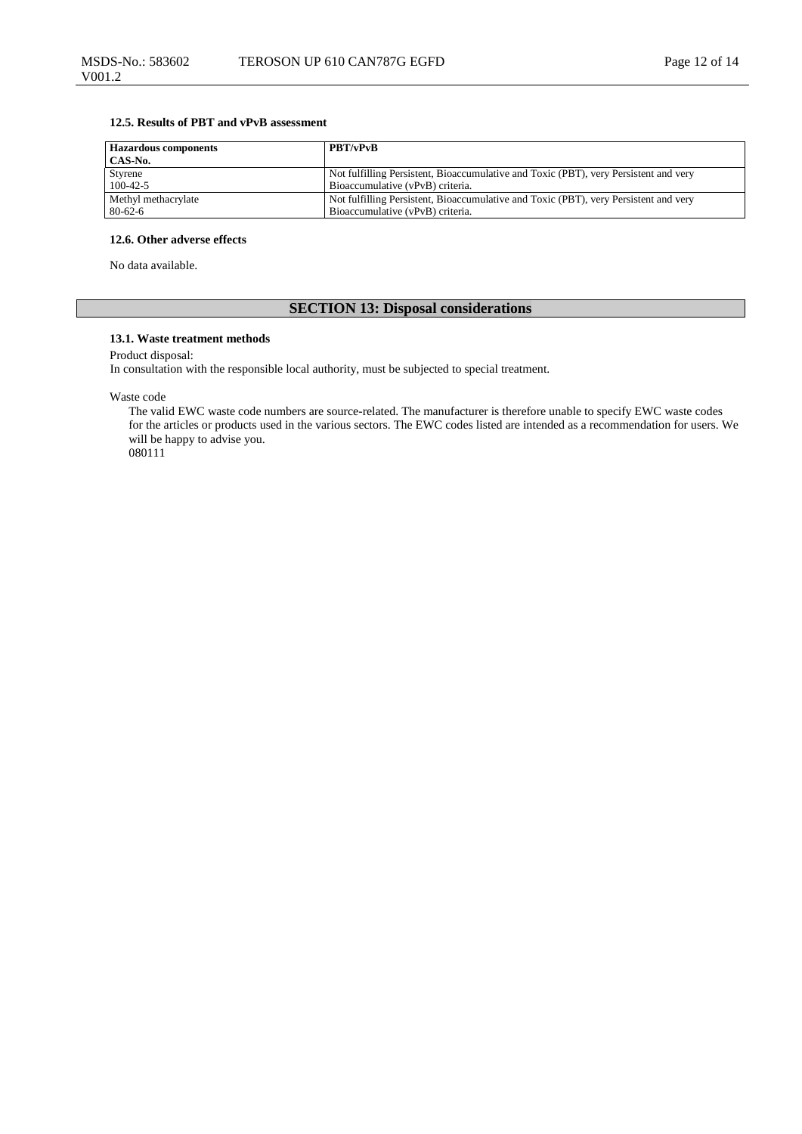### **12.5. Results of PBT and vPvB assessment**

| <b>Hazardous components</b> | <b>PBT/vPvB</b>                                                                      |
|-----------------------------|--------------------------------------------------------------------------------------|
| CAS-No.                     |                                                                                      |
| Styrene                     | Not fulfilling Persistent, Bioaccumulative and Toxic (PBT), very Persistent and very |
| $100-42-5$                  | Bioaccumulative (vPvB) criteria.                                                     |
| Methyl methacrylate         | Not fulfilling Persistent, Bioaccumulative and Toxic (PBT), very Persistent and very |
| $80 - 62 - 6$               | Bioaccumulative (vPvB) criteria.                                                     |

### **12.6. Other adverse effects**

No data available.

V001.2

### **SECTION 13: Disposal considerations**

### **13.1. Waste treatment methods**

Product disposal:

In consultation with the responsible local authority, must be subjected to special treatment.

Waste code

The valid EWC waste code numbers are source-related. The manufacturer is therefore unable to specify EWC waste codes for the articles or products used in the various sectors. The EWC codes listed are intended as a recommendation for users. We will be happy to advise you. 080111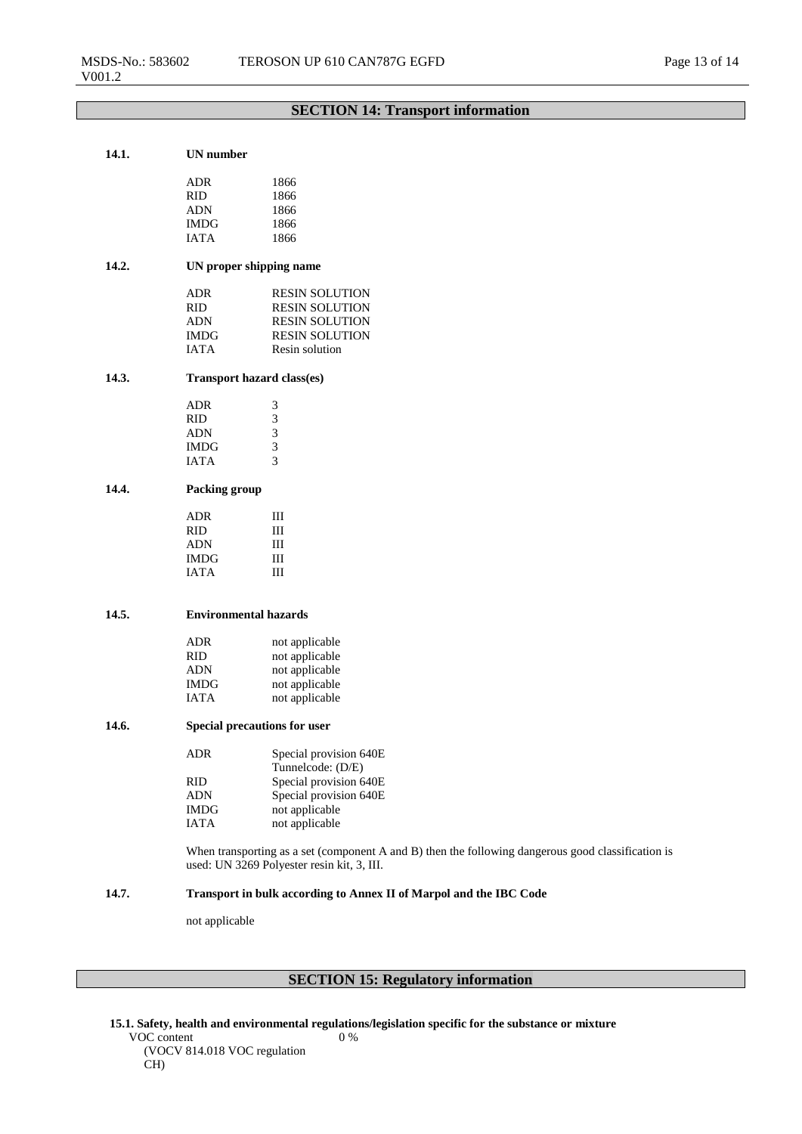### **SECTION 14: Transport information**

### **14.1. UN number**

| ADR         | 1866 |
|-------------|------|
| RID         | 1866 |
| ADN         | 1866 |
| IMDG        | 1866 |
| <b>JATA</b> | 1866 |
|             |      |

### **14.2. UN proper shipping name**

| ADR         | <b>RESIN SOLUTION</b> |
|-------------|-----------------------|
| RID         | <b>RESIN SOLUTION</b> |
| ADN         | <b>RESIN SOLUTION</b> |
| IMDG        | <b>RESIN SOLUTION</b> |
| <b>JATA</b> | Resin solution        |

### **14.3. Transport hazard class(es)**

| ADR         | 3 |
|-------------|---|
| RID         | 3 |
| ADN         | 3 |
| IMDG        | 3 |
| <b>JATA</b> | 3 |
|             |   |

### **14.4. Packing group**

| ADR         | Ш |
|-------------|---|
| <b>RID</b>  | Ш |
| <b>ADN</b>  | Ш |
| <b>IMDG</b> | Ш |
| <b>JATA</b> | Ш |

### **14.5. Environmental hazards**

| <b>ADR</b>  | not applicable |
|-------------|----------------|
| <b>RID</b>  | not applicable |
| <b>ADN</b>  | not applicable |
| <b>IMDG</b> | not applicable |
| <b>IATA</b> | not applicable |

#### **14.6. Special precautions for user**

| ADR.        | Special provision 640E |
|-------------|------------------------|
|             | Tunnelcode: (D/E)      |
| <b>RID</b>  | Special provision 640E |
| <b>ADN</b>  | Special provision 640E |
| <b>IMDG</b> | not applicable         |
| <b>IATA</b> | not applicable         |

When transporting as a set (component A and B) then the following dangerous good classification is used: UN 3269 Polyester resin kit, 3, III.

### **14.7. Transport in bulk according to Annex II of Marpol and the IBC Code**

not applicable

### **SECTION 15: Regulatory information**

**15.1. Safety, health and environmental regulations/legislation specific for the substance or mixture** VOC content (VOCV 814.018 VOC regulation CH) 0 %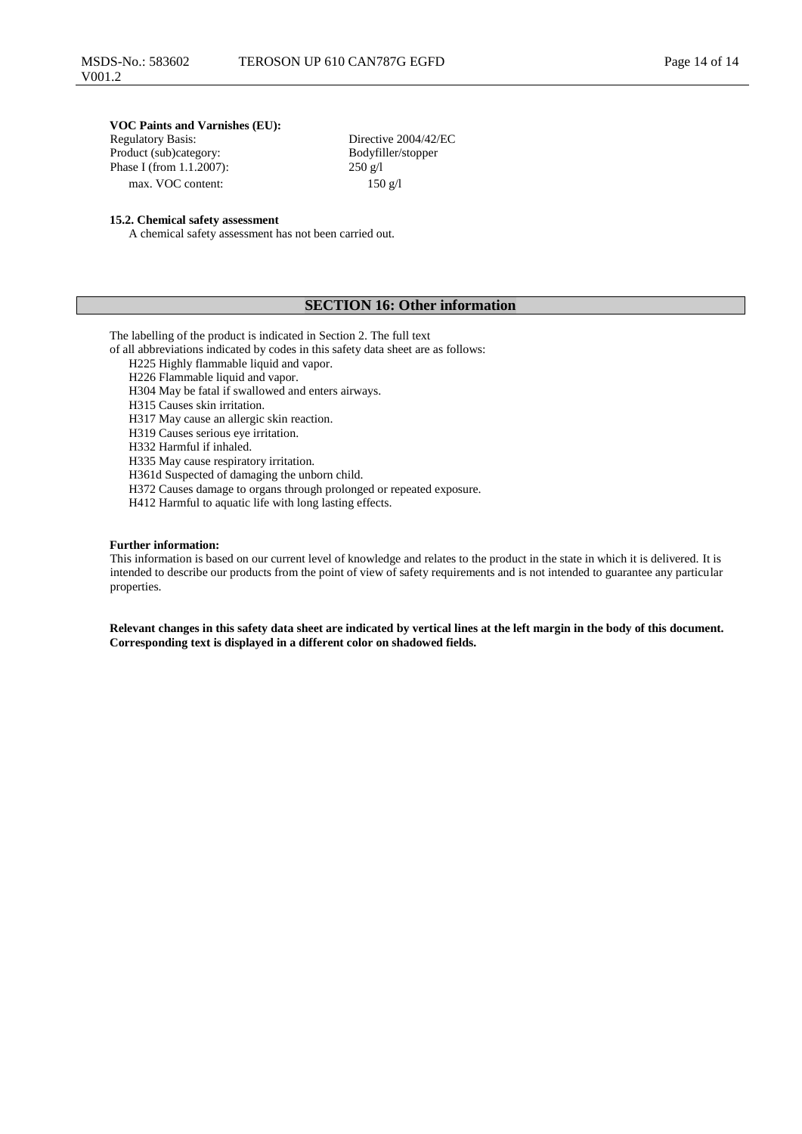# **VOC Paints and Varnishes (EU):**

Product (sub)category: Bodyfil<br>Phase I (from 1.1.2007): 250 g/l Phase I (from 1.1.2007): max. VOC content: 150 g/l

Directive 2004/42/EC<br>Bodyfiller/stopper

### **15.2. Chemical safety assessment**

A chemical safety assessment has not been carried out.

### **SECTION 16: Other information**

The labelling of the product is indicated in Section 2. The full text

of all abbreviations indicated by codes in this safety data sheet are as follows:

H225 Highly flammable liquid and vapor.

H226 Flammable liquid and vapor.

H304 May be fatal if swallowed and enters airways.

H315 Causes skin irritation.

H317 May cause an allergic skin reaction.

H319 Causes serious eye irritation.

H332 Harmful if inhaled.

H335 May cause respiratory irritation.

H361d Suspected of damaging the unborn child.

H372 Causes damage to organs through prolonged or repeated exposure.

H412 Harmful to aquatic life with long lasting effects.

### **Further information:**

This information is based on our current level of knowledge and relates to the product in the state in which it is delivered. It is intended to describe our products from the point of view of safety requirements and is not intended to guarantee any particular properties.

**Relevant changes in this safety data sheet are indicated by vertical lines at the left margin in the body of this document. Corresponding text is displayed in a different color on shadowed fields.**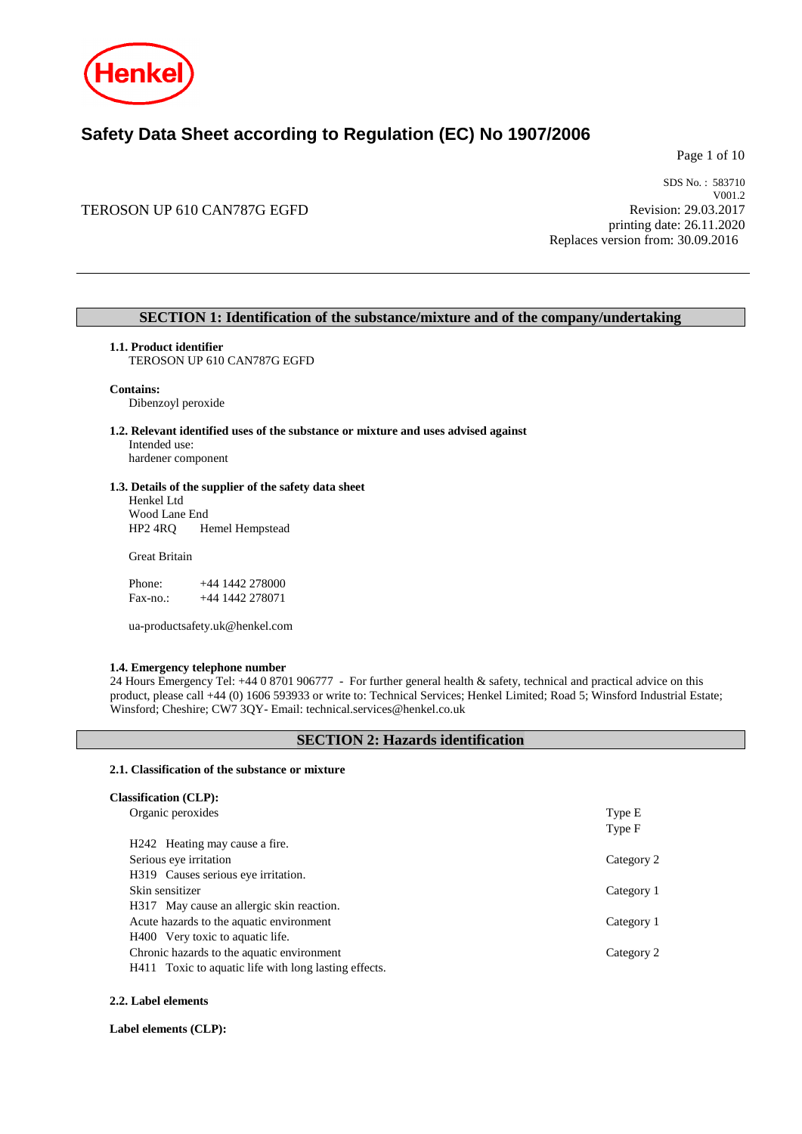

## **Safety Data Sheet according to Regulation (EC) No 1907/2006**

Page 1 of 10

### TEROSON UP 610 CAN787G EGFD

SDS No. : 583710 V001.2 Revision: 29.03.2017 printing date: 26.11.2020 Replaces version from: 30.09.2016

### **SECTION 1: Identification of the substance/mixture and of the company/undertaking**

### **1.1. Product identifier**

TEROSON UP 610 CAN787G EGFD

### **Contains:**

Dibenzoyl peroxide

#### **1.2. Relevant identified uses of the substance or mixture and uses advised against** Intended use:

hardener component

### **1.3. Details of the supplier of the safety data sheet**

Henkel Ltd Wood Lane End<br>HP2 4RQ H Hemel Hempstead

### Great Britain

| Phone:    | $+44$ 1442 278000 |
|-----------|-------------------|
| $Fax-no.$ | +44 1442 278071   |

ua-productsafety.uk@henkel.com

#### **1.4. Emergency telephone number**

24 Hours Emergency Tel: +44 0 8701 906777 - For further general health & safety, technical and practical advice on this product, please call +44 (0) 1606 593933 or write to: Technical Services; Henkel Limited; Road 5; Winsford Industrial Estate; Winsford; Cheshire; CW7 3QY- Email: technical.services@henkel.co.uk

### **SECTION 2: Hazards identification**

#### **2.1. Classification of the substance or mixture**

| <b>Classification (CLP):</b>                          |                  |
|-------------------------------------------------------|------------------|
| Organic peroxides                                     | Type E<br>Type F |
| H <sub>242</sub> Heating may cause a fire.            |                  |
| Serious eye irritation                                | Category 2       |
| H319 Causes serious eye irritation.                   |                  |
| Skin sensitizer                                       | Category 1       |
| H317 May cause an allergic skin reaction.             |                  |
| Acute hazards to the aquatic environment              | Category 1       |
| H400 Very toxic to aquatic life.                      |                  |
| Chronic hazards to the aquatic environment            | Category 2       |
| H411 Toxic to aquatic life with long lasting effects. |                  |

### **2.2. Label elements**

**Label elements (CLP):**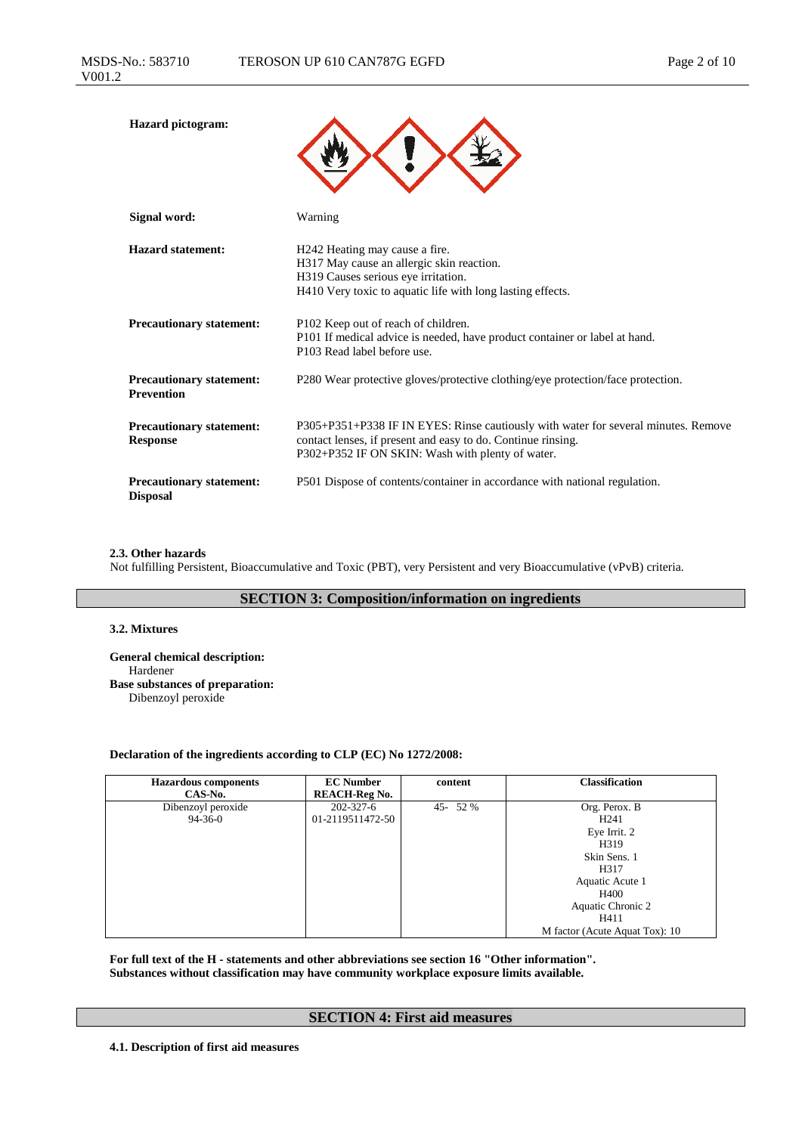| <b>Hazard</b> pictogram:                             |                                                                                                                                                                                                        |
|------------------------------------------------------|--------------------------------------------------------------------------------------------------------------------------------------------------------------------------------------------------------|
| Signal word:                                         | Warning                                                                                                                                                                                                |
| <b>Hazard statement:</b>                             | H242 Heating may cause a fire.<br>H317 May cause an allergic skin reaction.<br>H319 Causes serious eye irritation.<br>H410 Very toxic to aquatic life with long lasting effects.                       |
| <b>Precautionary statement:</b>                      | P102 Keep out of reach of children.<br>P101 If medical advice is needed, have product container or label at hand.<br>P103 Read label before use.                                                       |
| <b>Precautionary statement:</b><br><b>Prevention</b> | P280 Wear protective gloves/protective clothing/eye protection/face protection.                                                                                                                        |
| <b>Precautionary statement:</b><br><b>Response</b>   | P305+P351+P338 IF IN EYES: Rinse cautiously with water for several minutes. Remove<br>contact lenses, if present and easy to do. Continue rinsing.<br>P302+P352 IF ON SKIN: Wash with plenty of water. |
| <b>Precautionary statement:</b><br><b>Disposal</b>   | P501 Dispose of contents/container in accordance with national regulation.                                                                                                                             |

### **2.3. Other hazards**

Not fulfilling Persistent, Bioaccumulative and Toxic (PBT), very Persistent and very Bioaccumulative (vPvB) criteria.

### **SECTION 3: Composition/information on ingredients**

### **3.2. Mixtures**

**General chemical description:** Hardener **Base substances of preparation:** Dibenzoyl peroxide

### **Declaration of the ingredients according to CLP (EC) No 1272/2008:**

| <b>Hazardous</b> components<br>CAS-No. | <b>EC Number</b><br><b>REACH-Reg No.</b> | content    | <b>Classification</b>          |
|----------------------------------------|------------------------------------------|------------|--------------------------------|
| Dibenzoyl peroxide                     | $202 - 327 - 6$                          | $45 - 52%$ | Org. Perox. B                  |
| $94 - 36 - 0$                          | 01-2119511472-50                         |            | H <sub>241</sub>               |
|                                        |                                          |            | Eye Irrit. 2                   |
|                                        |                                          |            | H319                           |
|                                        |                                          |            | Skin Sens. 1                   |
|                                        |                                          |            | H317                           |
|                                        |                                          |            | Aquatic Acute 1                |
|                                        |                                          |            | H400                           |
|                                        |                                          |            | Aquatic Chronic 2              |
|                                        |                                          |            | H411                           |
|                                        |                                          |            | M factor (Acute Aquat Tox): 10 |

**For full text of the H - statements and other abbreviations see section 16 "Other information". Substances without classification may have community workplace exposure limits available.**

### **SECTION 4: First aid measures**

**4.1. Description of first aid measures**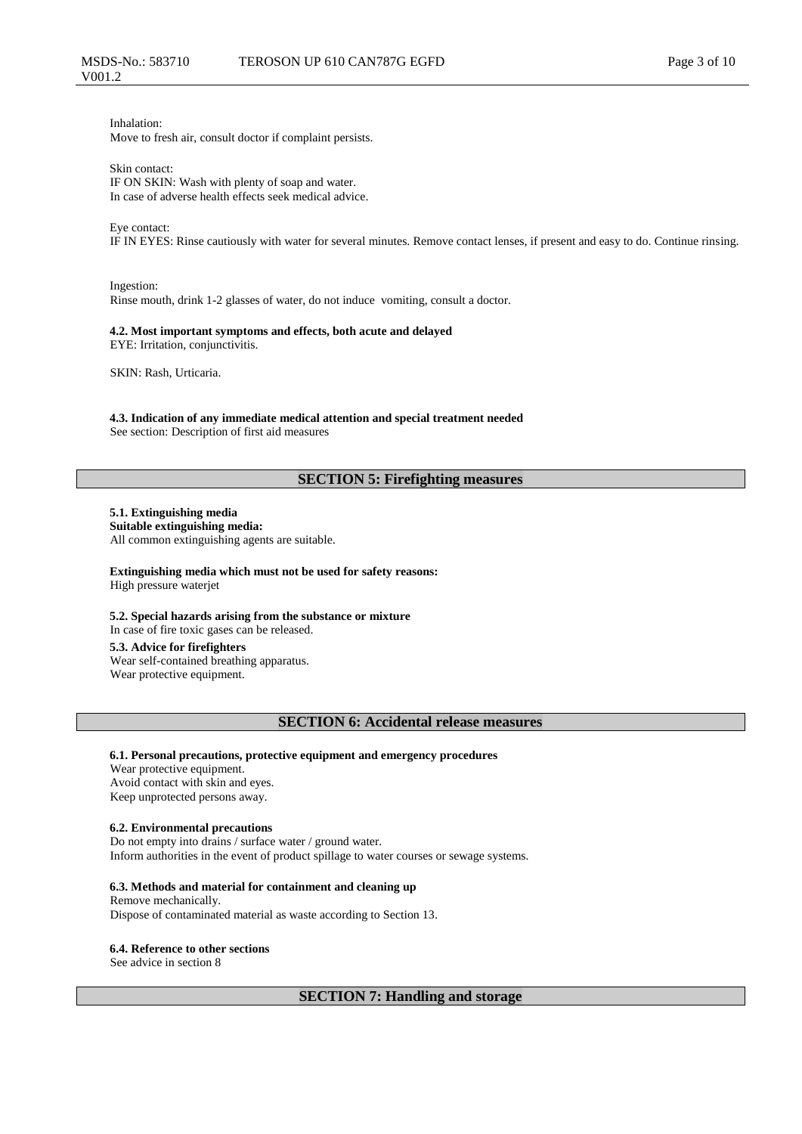Inhalation: Move to fresh air, consult doctor if complaint persists.

Skin contact:

IF ON SKIN: Wash with plenty of soap and water. In case of adverse health effects seek medical advice.

### Eye contact:

IF IN EYES: Rinse cautiously with water for several minutes. Remove contact lenses, if present and easy to do. Continue rinsing.

Ingestion: Rinse mouth, drink 1-2 glasses of water, do not induce vomiting, consult a doctor.

### **4.2. Most important symptoms and effects, both acute and delayed**

EYE: Irritation, conjunctivitis.

SKIN: Rash, Urticaria.

### **4.3. Indication of any immediate medical attention and special treatment needed**

See section: Description of first aid measures

### **SECTION 5: Firefighting measures**

#### **5.1. Extinguishing media Suitable extinguishing media:**

All common extinguishing agents are suitable.

**Extinguishing media which must not be used for safety reasons:** High pressure waterjet

**5.2. Special hazards arising from the substance or mixture** In case of fire toxic gases can be released.

**5.3. Advice for firefighters** Wear self-contained breathing apparatus. Wear protective equipment.

### **SECTION 6: Accidental release measures**

**6.1. Personal precautions, protective equipment and emergency procedures** Wear protective equipment. Avoid contact with skin and eyes. Keep unprotected persons away.

### **6.2. Environmental precautions**

Do not empty into drains / surface water / ground water. Inform authorities in the event of product spillage to water courses or sewage systems.

#### **6.3. Methods and material for containment and cleaning up**

Remove mechanically. Dispose of contaminated material as waste according to Section 13.

#### **6.4. Reference to other sections**

See advice in section 8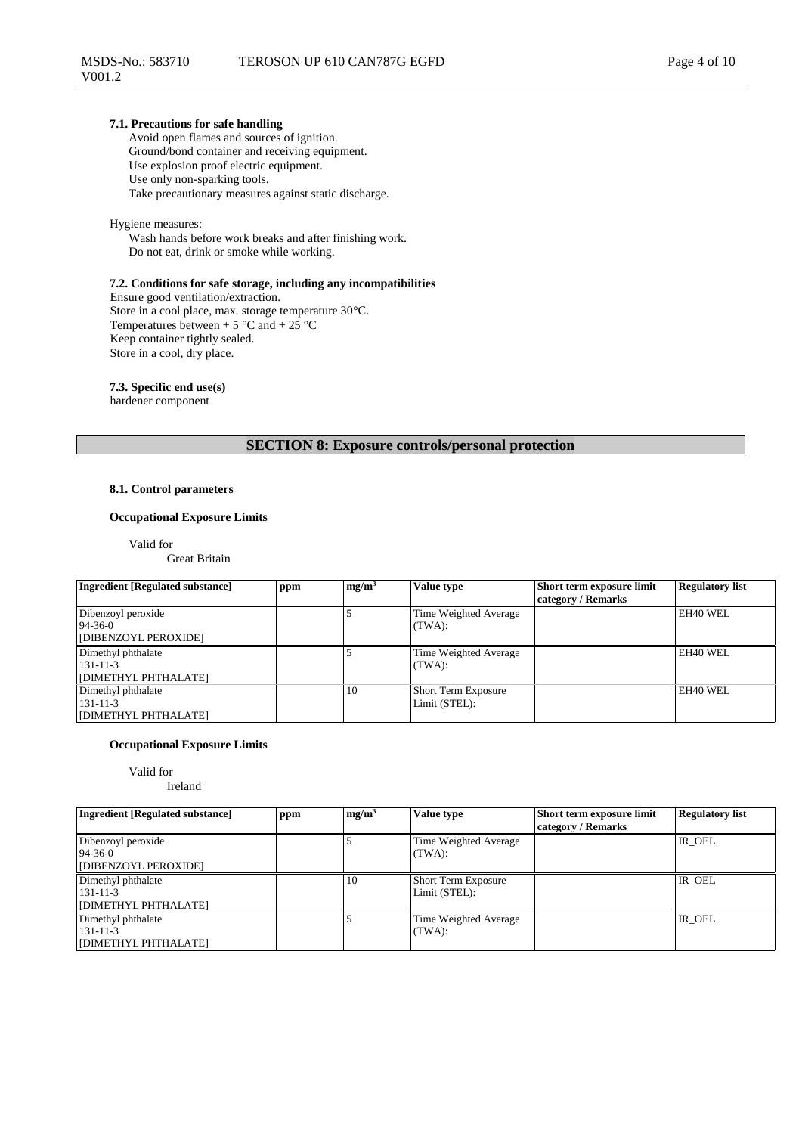### **7.1. Precautions for safe handling**

Avoid open flames and sources of ignition. Ground/bond container and receiving equipment. Use explosion proof electric equipment. Use only non-sparking tools. Take precautionary measures against static discharge.

### Hygiene measures:

Wash hands before work breaks and after finishing work. Do not eat, drink or smoke while working.

#### **7.2. Conditions for safe storage, including any incompatibilities**

Ensure good ventilation/extraction. Store in a cool place, max. storage temperature 30°C. Temperatures between + 5  $\degree$ C and + 25  $\degree$ C Keep container tightly sealed. Store in a cool, dry place.

**7.3. Specific end use(s)**

hardener component

### **SECTION 8: Exposure controls/personal protection**

### **8.1. Control parameters**

### **Occupational Exposure Limits**

Valid for

Great Britain

| <b>Ingredient [Regulated substance]</b>                      | ppm | mg/m <sup>3</sup> | Value type                                  | Short term exposure limit<br>category / Remarks | <b>Regulatory list</b> |
|--------------------------------------------------------------|-----|-------------------|---------------------------------------------|-------------------------------------------------|------------------------|
| Dibenzoyl peroxide<br>$94 - 36 - 0$<br>[DIBENZOYL PEROXIDE]  |     |                   | Time Weighted Average<br>(TWA):             |                                                 | EH40 WEL               |
| Dimethyl phthalate<br>$131 - 11 - 3$<br>[DIMETHYL PHTHALATE] |     |                   | Time Weighted Average<br>(TWA):             |                                                 | EH40 WEL               |
| Dimethyl phthalate<br>$131 - 11 - 3$<br>[DIMETHYL PHTHALATE] |     | 10                | <b>Short Term Exposure</b><br>Limit (STEL): |                                                 | EH40 WEL               |

### **Occupational Exposure Limits**

### Valid for

Ireland

| <b>Ingredient [Regulated substance]</b>                      | ppm | mg/m <sup>3</sup> | Value type                                  | Short term exposure limit<br>category / Remarks | <b>Regulatory list</b> |
|--------------------------------------------------------------|-----|-------------------|---------------------------------------------|-------------------------------------------------|------------------------|
| Dibenzoyl peroxide<br>$94 - 36 - 0$<br>[DIBENZOYL PEROXIDE]  |     |                   | Time Weighted Average<br>(TWA):             |                                                 | IR OEL                 |
| Dimethyl phthalate<br>$131 - 11 - 3$<br>[DIMETHYL PHTHALATE] |     | 10                | <b>Short Term Exposure</b><br>Limit (STEL): |                                                 | IR OEL                 |
| Dimethyl phthalate<br>$131 - 11 - 3$<br>[DIMETHYL PHTHALATE] |     |                   | Time Weighted Average<br>(TWA):             |                                                 | IR OEL                 |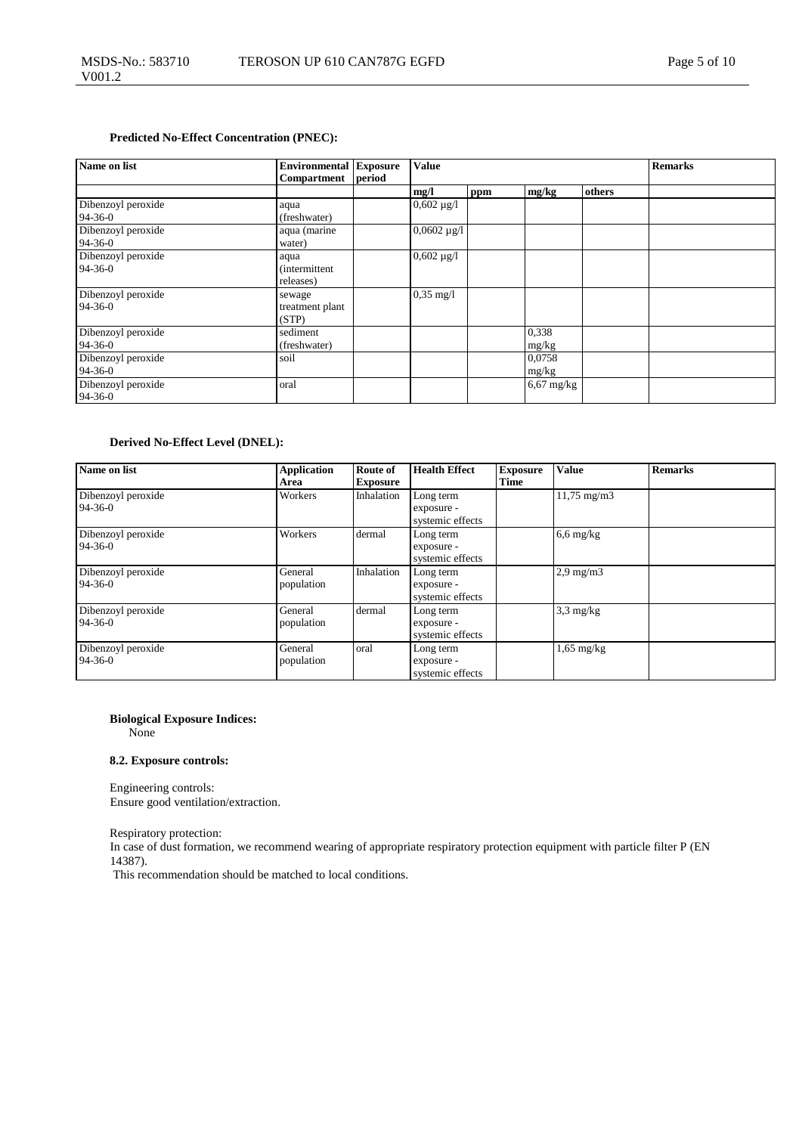### **Predicted No-Effect Concentration (PNEC):**

| Name on list                        | <b>Environmental Exposure</b>              |        | <b>Value</b>        | <b>Remarks</b> |                 |        |  |
|-------------------------------------|--------------------------------------------|--------|---------------------|----------------|-----------------|--------|--|
|                                     | <b>Compartment</b>                         | period |                     |                |                 |        |  |
|                                     |                                            |        | mg/l                | ppm            | mg/kg           | others |  |
| Dibenzoyl peroxide<br>$94-36-0$     | aqua<br>(freshwater)                       |        | $0,602 \mu g/l$     |                |                 |        |  |
| Dibenzoyl peroxide<br>94-36-0       | aqua (marine<br>water)                     |        | $0,0602 \mu g/l$    |                |                 |        |  |
| Dibenzoyl peroxide<br>$94 - 36 - 0$ | aqua<br><i>(intermittent)</i><br>releases) |        | $0,602 \mu g/l$     |                |                 |        |  |
| Dibenzoyl peroxide<br>$94 - 36 - 0$ | sewage<br>treatment plant<br>(STP)         |        | $0,35 \text{ mg}/1$ |                |                 |        |  |
| Dibenzoyl peroxide<br>94-36-0       | sediment<br>(freshwater)                   |        |                     |                | 0,338<br>mg/kg  |        |  |
| Dibenzoyl peroxide<br>$94 - 36 - 0$ | soil                                       |        |                     |                | 0,0758<br>mg/kg |        |  |
| Dibenzoyl peroxide<br>94-36-0       | oral                                       |        |                     |                | $6,67$ mg/kg    |        |  |

### **Derived No-Effect Level (DNEL):**

| Name on list                        | <b>Application</b><br>Area | <b>Route of</b><br><b>Exposure</b> | <b>Health Effect</b>                        | <b>Exposure</b><br>Time | <b>Value</b>         | <b>Remarks</b> |
|-------------------------------------|----------------------------|------------------------------------|---------------------------------------------|-------------------------|----------------------|----------------|
| Dibenzoyl peroxide<br>$94 - 36 - 0$ | Workers                    | Inhalation                         | Long term<br>exposure -<br>systemic effects |                         | $11,75 \text{ mg/m}$ |                |
| Dibenzoyl peroxide<br>$94 - 36 - 0$ | Workers                    | dermal                             | Long term<br>exposure -<br>systemic effects |                         | $6,6$ mg/kg          |                |
| Dibenzoyl peroxide<br>$94 - 36 - 0$ | General<br>population      | Inhalation                         | Long term<br>exposure -<br>systemic effects |                         | $2.9 \text{ mg/m}$   |                |
| Dibenzoyl peroxide<br>$94 - 36 - 0$ | General<br>population      | dermal                             | Long term<br>exposure -<br>systemic effects |                         | $3,3$ mg/kg          |                |
| Dibenzoyl peroxide<br>$94 - 36 - 0$ | General<br>population      | oral                               | Long term<br>exposure -<br>systemic effects |                         | $1,65$ mg/kg         |                |

### **Biological Exposure Indices:**

None

### **8.2. Exposure controls:**

Engineering controls: Ensure good ventilation/extraction.

Respiratory protection:

In case of dust formation, we recommend wearing of appropriate respiratory protection equipment with particle filter P (EN 14387).

This recommendation should be matched to local conditions.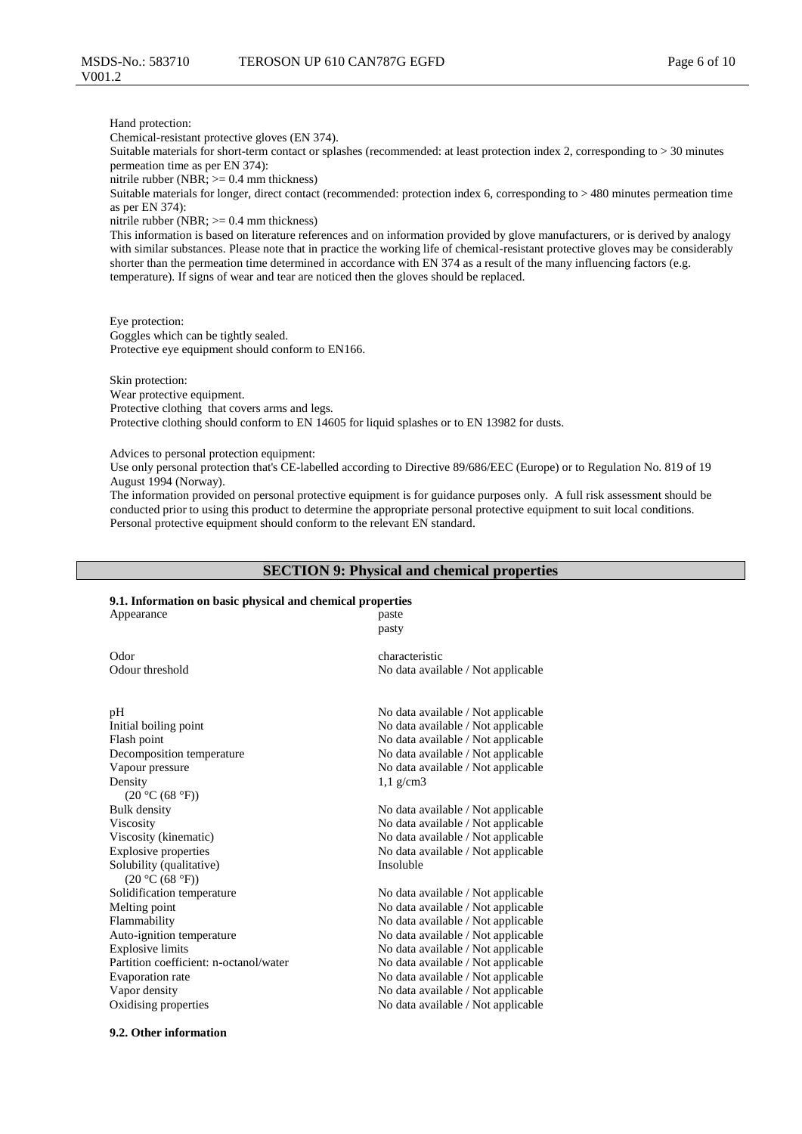Hand protection:

Chemical-resistant protective gloves (EN 374).

Suitable materials for short-term contact or splashes (recommended: at least protection index 2, corresponding to > 30 minutes permeation time as per EN 374):

nitrile rubber (NBR; >= 0.4 mm thickness)

Suitable materials for longer, direct contact (recommended: protection index 6, corresponding to > 480 minutes permeation time as per EN 374):

nitrile rubber (NBR; >= 0.4 mm thickness)

This information is based on literature references and on information provided by glove manufacturers, or is derived by analogy with similar substances. Please note that in practice the working life of chemical-resistant protective gloves may be considerably shorter than the permeation time determined in accordance with EN 374 as a result of the many influencing factors (e.g. temperature). If signs of wear and tear are noticed then the gloves should be replaced.

Eye protection: Goggles which can be tightly sealed. Protective eye equipment should conform to EN166.

Skin protection: Wear protective equipment. Protective clothing that covers arms and legs. Protective clothing should conform to EN 14605 for liquid splashes or to EN 13982 for dusts.

Advices to personal protection equipment:

Use only personal protection that's CE-labelled according to Directive 89/686/EEC (Europe) or to Regulation No. 819 of 19 August 1994 (Norway).

The information provided on personal protective equipment is for guidance purposes only. A full risk assessment should be conducted prior to using this product to determine the appropriate personal protective equipment to suit local conditions. Personal protective equipment should conform to the relevant EN standard.

### **SECTION 9: Physical and chemical properties**

### **9.1. Information on basic physical and chemical properties**

| Appearance                                  | paste<br>pasty                     |
|---------------------------------------------|------------------------------------|
| Odor                                        | characteristic                     |
| Odour threshold                             | No data available / Not applicable |
| pH                                          | No data available / Not applicable |
| Initial boiling point                       | No data available / Not applicable |
| Flash point                                 | No data available / Not applicable |
| Decomposition temperature                   | No data available / Not applicable |
| Vapour pressure                             | No data available / Not applicable |
| Density                                     | $1,1$ g/cm3                        |
| (20 °C (68 °F))                             |                                    |
| <b>Bulk</b> density                         | No data available / Not applicable |
| <b>Viscosity</b>                            | No data available / Not applicable |
| Viscosity (kinematic)                       | No data available / Not applicable |
| <b>Explosive properties</b>                 | No data available / Not applicable |
| Solubility (qualitative)<br>(20 °C (68 °F)) | Insoluble                          |
| Solidification temperature                  | No data available / Not applicable |
| Melting point                               | No data available / Not applicable |
| Flammability                                | No data available / Not applicable |
| Auto-ignition temperature                   | No data available / Not applicable |
| <b>Explosive limits</b>                     | No data available / Not applicable |
| Partition coefficient: n-octanol/water      | No data available / Not applicable |
| Evaporation rate                            | No data available / Not applicable |
| Vapor density                               | No data available / Not applicable |
| Oxidising properties                        | No data available / Not applicable |
|                                             |                                    |

#### **9.2. Other information**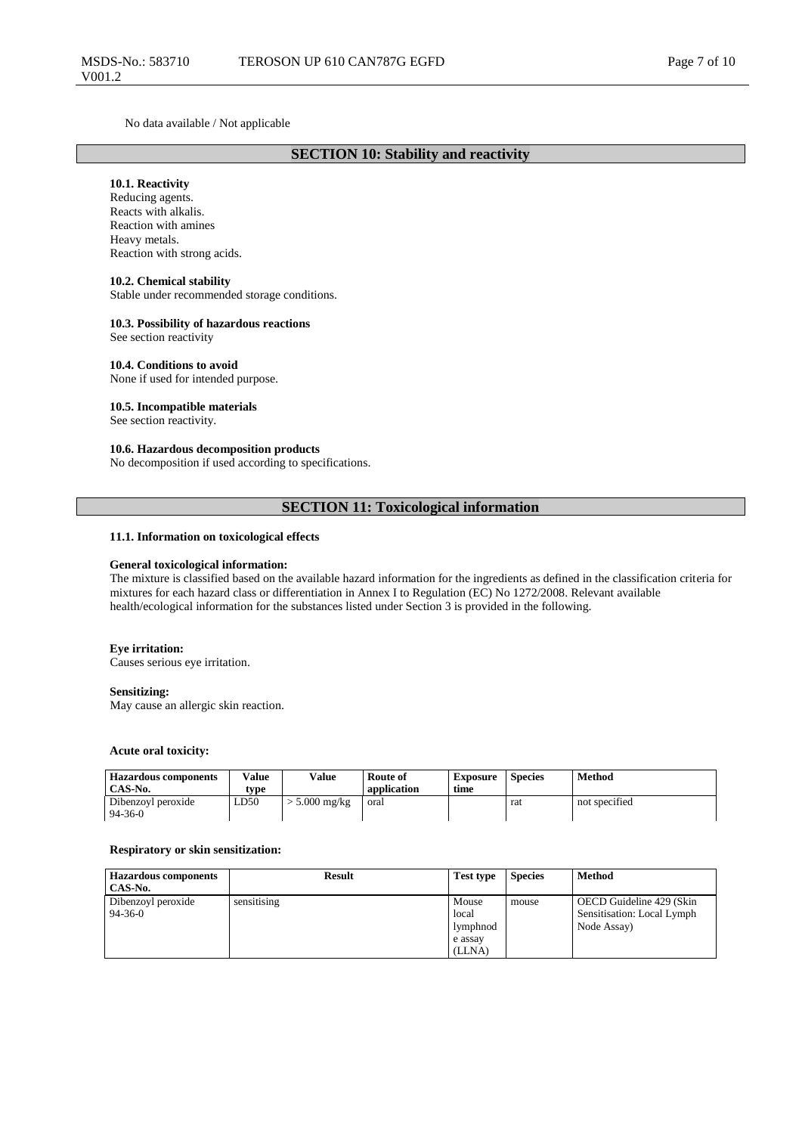No data available / Not applicable

### **SECTION 10: Stability and reactivity**

### **10.1. Reactivity**

Reducing agents. Reacts with alkalis. Reaction with amines Heavy metals. Reaction with strong acids.

### **10.2. Chemical stability**

Stable under recommended storage conditions.

#### **10.3. Possibility of hazardous reactions**

See section reactivity

### **10.4. Conditions to avoid**

None if used for intended purpose.

#### **10.5. Incompatible materials**

See section reactivity.

### **10.6. Hazardous decomposition products**

No decomposition if used according to specifications.

### **SECTION 11: Toxicological information**

### **11.1. Information on toxicological effects**

#### **General toxicological information:**

The mixture is classified based on the available hazard information for the ingredients as defined in the classification criteria for mixtures for each hazard class or differentiation in Annex I to Regulation (EC) No 1272/2008. Relevant available health/ecological information for the substances listed under Section 3 is provided in the following.

#### **Eye irritation:**

Causes serious eye irritation.

#### **Sensitizing:**

May cause an allergic skin reaction.

#### **Acute oral toxicity:**

| <b>Hazardous components</b><br>CAS-No. | Value<br>tvpe | Value         | Route of<br>application | <b>Exposure</b><br>time | <b>Species</b> | Method        |
|----------------------------------------|---------------|---------------|-------------------------|-------------------------|----------------|---------------|
| Dibenzovl peroxide<br>94-36-0          | LD50          | $5.000$ mg/kg | oral                    |                         | rat            | not specified |

#### **Respiratory or skin sensitization:**

| <b>Hazardous components</b><br>CAS-No. | <b>Result</b> | <b>Test type</b>           | <b>Species</b> | <b>Method</b>                                                         |
|----------------------------------------|---------------|----------------------------|----------------|-----------------------------------------------------------------------|
| Dibenzoyl peroxide<br>$94 - 36 - 0$    | sensitising   | Mouse<br>local<br>lymphnod | mouse          | OECD Guideline 429 (Skin<br>Sensitisation: Local Lymph<br>Node Assay) |
|                                        |               | e assay<br>(LLNA)          |                |                                                                       |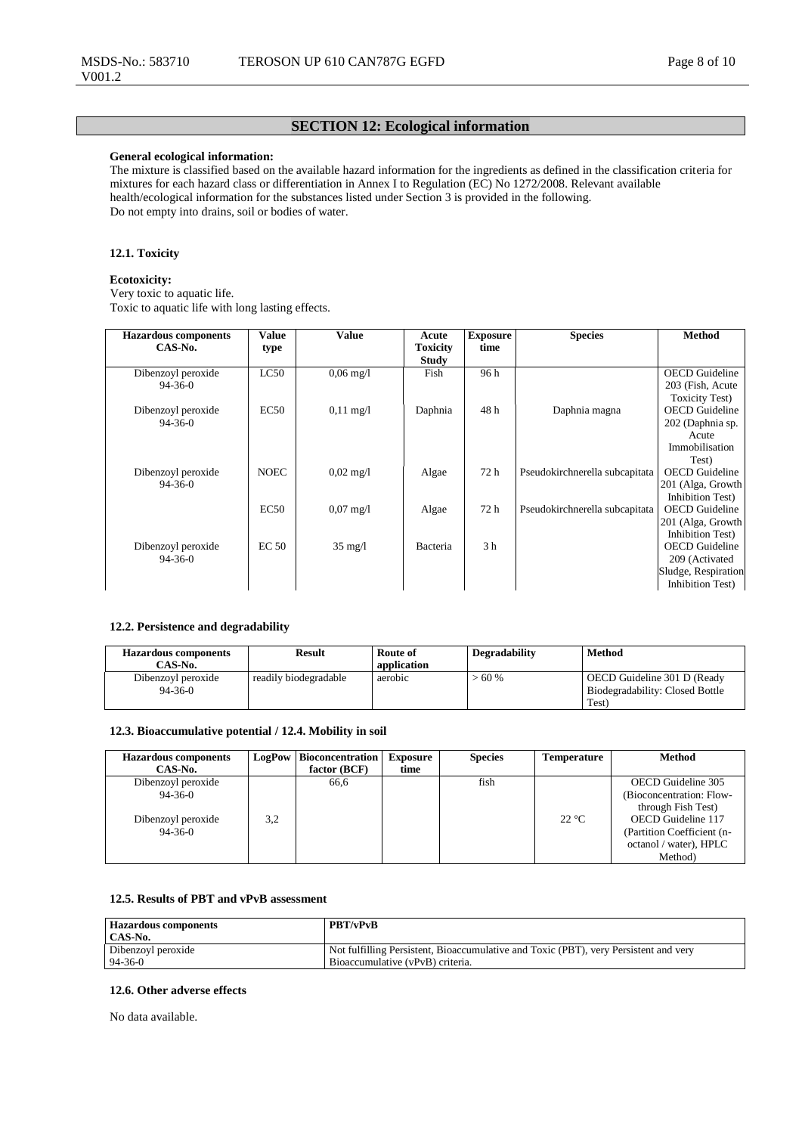### **SECTION 12: Ecological information**

### **General ecological information:**

The mixture is classified based on the available hazard information for the ingredients as defined in the classification criteria for mixtures for each hazard class or differentiation in Annex I to Regulation (EC) No 1272/2008. Relevant available health/ecological information for the substances listed under Section 3 is provided in the following. Do not empty into drains, soil or bodies of water.

### **12.1. Toxicity**

### **Ecotoxicity:**

Very toxic to aquatic life. Toxic to aquatic life with long lasting effects.

| <b>Hazardous components</b> | Value            | <b>Value</b>           | Acute           | <b>Exposure</b> | <b>Species</b>                 | <b>Method</b>          |
|-----------------------------|------------------|------------------------|-----------------|-----------------|--------------------------------|------------------------|
| $CAS-N0$ .                  | type             |                        | <b>Toxicity</b> | time            |                                |                        |
|                             |                  |                        | Study           |                 |                                |                        |
| Dibenzoyl peroxide          | LC50             | $0.06 \,\mathrm{mg}/l$ | Fish            | 96 h            |                                | <b>OECD</b> Guideline  |
| $94-36-0$                   |                  |                        |                 |                 |                                | 203 (Fish, Acute       |
|                             |                  |                        |                 |                 |                                | <b>Toxicity Test</b> ) |
| Dibenzoyl peroxide          | EC50             | $0,11 \text{ mg}/1$    | Daphnia         | 48 h            | Daphnia magna                  | <b>OECD</b> Guideline  |
| $94 - 36 - 0$               |                  |                        |                 |                 |                                | 202 (Daphnia sp.       |
|                             |                  |                        |                 |                 |                                | Acute                  |
|                             |                  |                        |                 |                 |                                | Immobilisation         |
|                             |                  |                        |                 |                 |                                | Test)                  |
| Dibenzoyl peroxide          | <b>NOEC</b>      | $0.02 \text{ mg}/1$    | Algae           | 72 h            | Pseudokirchnerella subcapitata | <b>OECD</b> Guideline  |
| $94 - 36 - 0$               |                  |                        |                 |                 |                                | 201 (Alga, Growth      |
|                             |                  |                        |                 |                 |                                | Inhibition Test)       |
|                             | EC50             | $0,07 \text{ mg}/1$    | Algae           | 72 h            | Pseudokirchnerella subcapitata | <b>OECD</b> Guideline  |
|                             |                  |                        |                 |                 |                                | 201 (Alga, Growth      |
|                             |                  |                        |                 |                 |                                | Inhibition Test)       |
| Dibenzoyl peroxide          | EC <sub>50</sub> | $35 \text{ mg/l}$      | Bacteria        | 3 <sub>h</sub>  |                                | <b>OECD</b> Guideline  |
| $94 - 36 - 0$               |                  |                        |                 |                 |                                | 209 (Activated         |
|                             |                  |                        |                 |                 |                                | Sludge, Respiration    |
|                             |                  |                        |                 |                 |                                | Inhibition Test)       |

### **12.2. Persistence and degradability**

| <b>Hazardous components</b> | <b>Result</b>         | Route of    | Degradability | <b>Method</b>                   |
|-----------------------------|-----------------------|-------------|---------------|---------------------------------|
| CAS-No.                     |                       | application |               |                                 |
| Dibenzoyl peroxide          | readily biodegradable | aerobic     | >60%          | OECD Guideline 301 D (Ready     |
| $94 - 36 - 0$               |                       |             |               | Biodegradability: Closed Bottle |
|                             |                       |             |               | Test)                           |

### **12.3. Bioaccumulative potential / 12.4. Mobility in soil**

| <b>Hazardous components</b><br>CAS-No. | LogPow | <b>Bioconcentration</b><br>factor $(BCF)$ | <b>Exposure</b><br>time | <b>Species</b> | <b>Temperature</b> | <b>Method</b>              |
|----------------------------------------|--------|-------------------------------------------|-------------------------|----------------|--------------------|----------------------------|
|                                        |        |                                           |                         |                |                    |                            |
| Dibenzoyl peroxide                     |        | 66,6                                      |                         | fish           |                    | OECD Guideline 305         |
| $94 - 36 - 0$                          |        |                                           |                         |                |                    | (Bioconcentration: Flow-   |
|                                        |        |                                           |                         |                |                    | through Fish Test)         |
| Dibenzoyl peroxide                     | 3.2    |                                           |                         |                | $22^{\circ}C$      | OECD Guideline 117         |
| $94 - 36 - 0$                          |        |                                           |                         |                |                    | (Partition Coefficient (n- |
|                                        |        |                                           |                         |                |                    | octanol / water), HPLC     |
|                                        |        |                                           |                         |                |                    | Method)                    |

### **12.5. Results of PBT and vPvB assessment**

| <b>Hazardous components</b><br>CAS-No. | <b>PBT/vPvB</b>                                                                      |
|----------------------------------------|--------------------------------------------------------------------------------------|
| Dibenzoyl peroxide                     | Not fulfilling Persistent, Bioaccumulative and Toxic (PBT), very Persistent and very |
| $94 - 36 - 0$                          | Bioaccumulative (vPvB) criteria.                                                     |

#### **12.6. Other adverse effects**

No data available.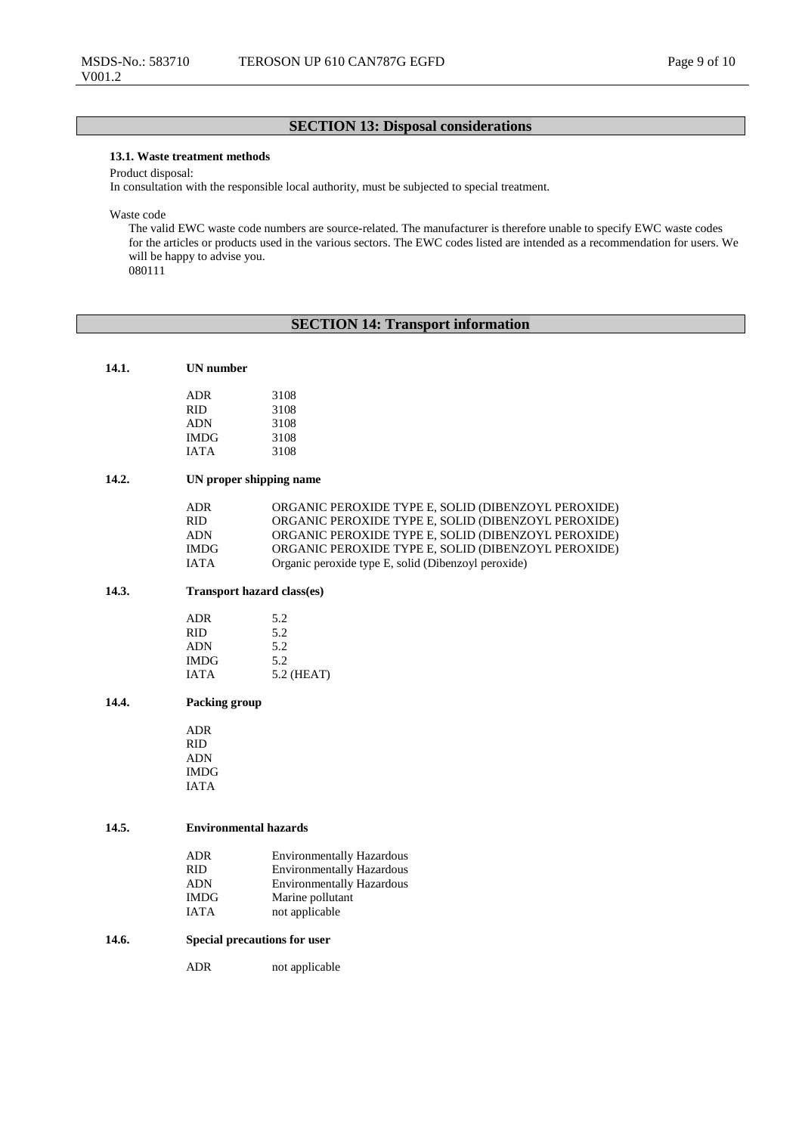### **SECTION 13: Disposal considerations**

### **13.1. Waste treatment methods**

Product disposal:

In consultation with the responsible local authority, must be subjected to special treatment.

Waste code

The valid EWC waste code numbers are source-related. The manufacturer is therefore unable to specify EWC waste codes for the articles or products used in the various sectors. The EWC codes listed are intended as a recommendation for users. We will be happy to advise you. 080111

### **SECTION 14: Transport information**

| ADR  | 3108 |
|------|------|
| RID  | 3108 |
| ADN  | 3108 |
| IMDG | 3108 |
| IATA | 3108 |
|      |      |

### **14.2. UN proper shipping name**

| ADR   | ORGANIC PEROXIDE TYPE E, SOLID (DIBENZOYL PEROXIDE) |
|-------|-----------------------------------------------------|
| RID.  | ORGANIC PEROXIDE TYPE E, SOLID (DIBENZOYL PEROXIDE) |
| ADN   | ORGANIC PEROXIDE TYPE E, SOLID (DIBENZOYL PEROXIDE) |
| IMDG. | ORGANIC PEROXIDE TYPE E, SOLID (DIBENZOYL PEROXIDE) |
| IATA  | Organic peroxide type E, solid (Dibenzoyl peroxide) |

### **14.3. Transport hazard class(es)**

| ADR        | 5.2        |
|------------|------------|
| RID        | 5.2        |
| <b>ADN</b> | 5.2        |
| IMDG       | 5.2        |
| IATA       | 5.2 (HEAT) |
|            |            |

### **14.4. Packing group**

ADR RID ADN IMDG IATA

#### **14.5. Environmental hazards**

| ADR         | <b>Environmentally Hazardous</b> |
|-------------|----------------------------------|
| RID         | <b>Environmentally Hazardous</b> |
| <b>ADN</b>  | <b>Environmentally Hazardous</b> |
| <b>IMDG</b> | Marine pollutant                 |
| IATA        | not applicable                   |

#### **14.6. Special precautions for user**

ADR not applicable